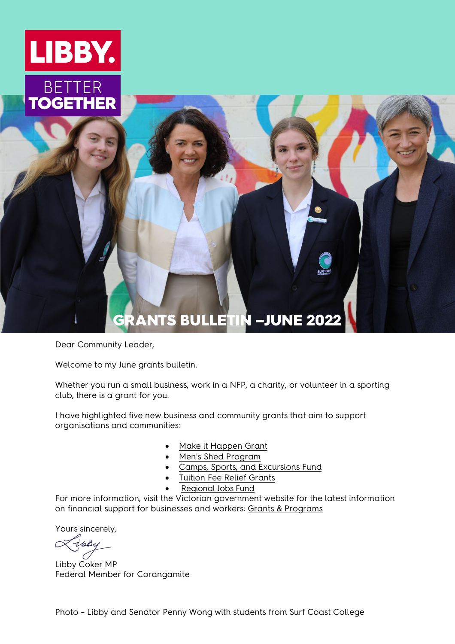

# GRANTS BULLETIN –JUNE 2022

<span id="page-0-0"></span>Dear Community Leader,

Welcome to my June grants bulletin.

Whether you run a small business, work in a NFP, a charity, or volunteer in a sporting club, there is a grant for you.

I have highlighted five new business and community grants that aim to support organisations and communities:

- [Make it Happen Grant](https://www.thegrantshub.com.au/make-it-happen-grants-2022)
- [Men's Shed Program](https://providers.dffh.vic.gov.au/mens-shed-program)
- [Camps, Sports, and Excursions Fund](https://www.vic.gov.au/camps-sports-and-excursions-fund)
- [Tuition Fee Relief Grants](https://saf.org.au/tuition-fee-relief-grants/)
- [Regional Jobs Fund](https://business.vic.gov.au/grants-and-programs/regional-jobs-fund)

For more information, visit the Victorian government website for the latest information on financial support for businesses and workers: [Grants & Programs](https://business.vic.gov.au/grants-and-programs)

Yours sincerely,

ippy

Libby Coker MP Federal Member for Corangamite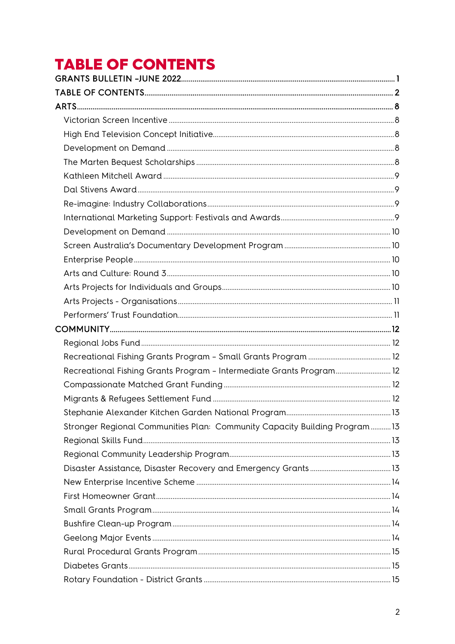# <span id="page-1-0"></span>**TABLE OF CONTENTS**

| Recreational Fishing Grants Program - Intermediate Grants Program 12      |  |
|---------------------------------------------------------------------------|--|
|                                                                           |  |
|                                                                           |  |
|                                                                           |  |
| Stronger Regional Communities Plan: Community Capacity Building Program13 |  |
|                                                                           |  |
|                                                                           |  |
|                                                                           |  |
|                                                                           |  |
|                                                                           |  |
|                                                                           |  |
|                                                                           |  |
|                                                                           |  |
|                                                                           |  |
|                                                                           |  |
|                                                                           |  |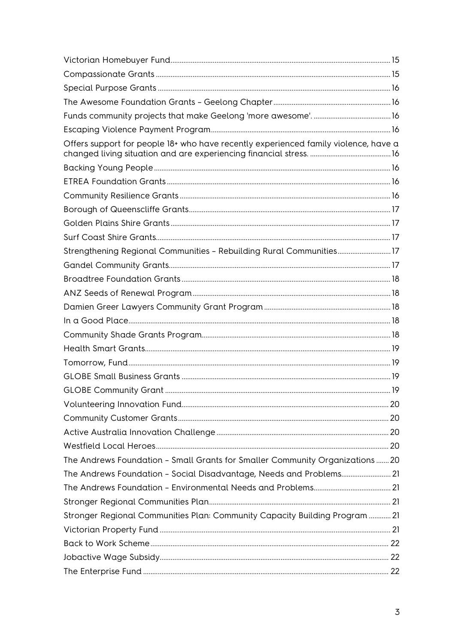| Offers support for people 18+ who have recently experienced family violence, have a |  |
|-------------------------------------------------------------------------------------|--|
|                                                                                     |  |
|                                                                                     |  |
|                                                                                     |  |
|                                                                                     |  |
|                                                                                     |  |
|                                                                                     |  |
| Strengthening Regional Communities - Rebuilding Rural Communities 17                |  |
|                                                                                     |  |
|                                                                                     |  |
|                                                                                     |  |
|                                                                                     |  |
|                                                                                     |  |
|                                                                                     |  |
|                                                                                     |  |
|                                                                                     |  |
|                                                                                     |  |
|                                                                                     |  |
|                                                                                     |  |
|                                                                                     |  |
|                                                                                     |  |
|                                                                                     |  |
| The Andrews Foundation - Small Grants for Smaller Community Organizations20         |  |
| The Andrews Foundation - Social Disadvantage, Needs and Problems 21                 |  |
|                                                                                     |  |
|                                                                                     |  |
| Stronger Regional Communities Plan: Community Capacity Building Program  21         |  |
|                                                                                     |  |
|                                                                                     |  |
|                                                                                     |  |
|                                                                                     |  |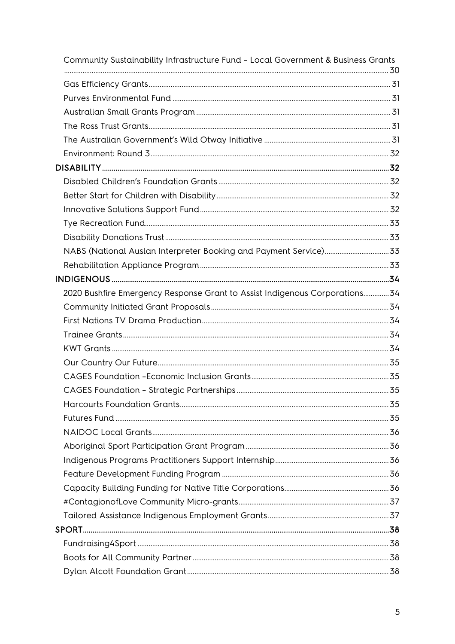| Community Sustainability Infrastructure Fund - Local Government & Business Grants |  |
|-----------------------------------------------------------------------------------|--|
|                                                                                   |  |
|                                                                                   |  |
|                                                                                   |  |
|                                                                                   |  |
|                                                                                   |  |
|                                                                                   |  |
|                                                                                   |  |
|                                                                                   |  |
|                                                                                   |  |
|                                                                                   |  |
|                                                                                   |  |
|                                                                                   |  |
|                                                                                   |  |
|                                                                                   |  |
|                                                                                   |  |
| 2020 Bushfire Emergency Response Grant to Assist Indigenous Corporations34        |  |
|                                                                                   |  |
|                                                                                   |  |
|                                                                                   |  |
|                                                                                   |  |
|                                                                                   |  |
|                                                                                   |  |
|                                                                                   |  |
|                                                                                   |  |
|                                                                                   |  |
|                                                                                   |  |
|                                                                                   |  |
|                                                                                   |  |
|                                                                                   |  |
|                                                                                   |  |
|                                                                                   |  |
|                                                                                   |  |
|                                                                                   |  |
|                                                                                   |  |
|                                                                                   |  |
|                                                                                   |  |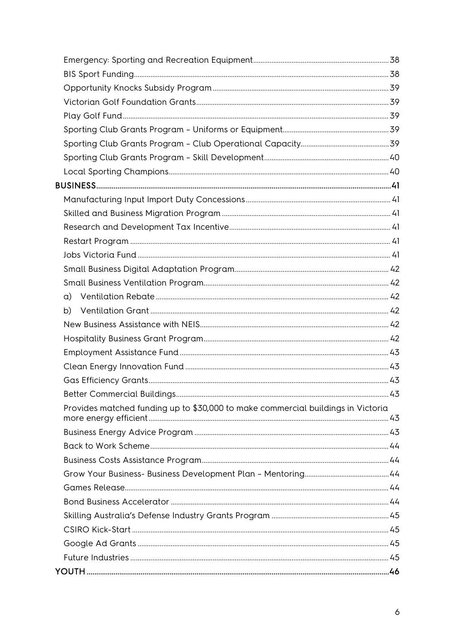| Provides matched funding up to \$30,000 to make commercial buildings in Victoria |  |
|----------------------------------------------------------------------------------|--|
|                                                                                  |  |
|                                                                                  |  |
|                                                                                  |  |
|                                                                                  |  |
|                                                                                  |  |
|                                                                                  |  |
|                                                                                  |  |
|                                                                                  |  |
|                                                                                  |  |
|                                                                                  |  |
|                                                                                  |  |
|                                                                                  |  |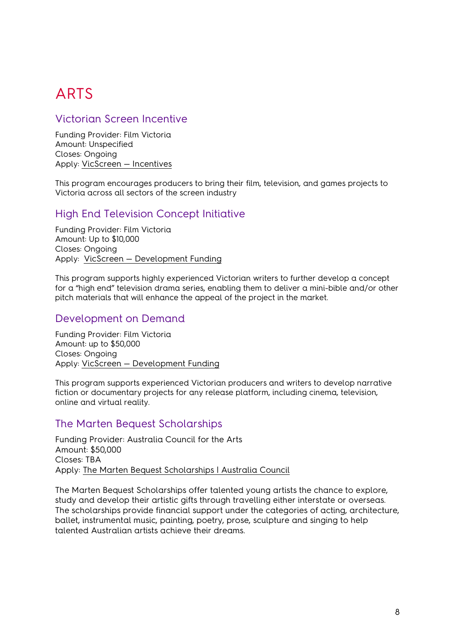# <span id="page-7-0"></span>ARTS

# <span id="page-7-1"></span>Victorian Screen Incentive

Funding Provider: Film Victoria Amount: Unspecified Closes: Ongoing Apply: [VicScreen — Incentives](https://vicscreen.vic.gov.au/funding/incentives#vsi)

This program encourages producers to bring their film, television, and games projects to Victoria across all sectors of the screen industry

#### <span id="page-7-2"></span>High End Television Concept Initiative

Funding Provider: Film Victoria Amount: Up to \$10,000 Closes: Ongoing Apply: [VicScreen — Development Funding](https://vicscreen.vic.gov.au/funding/development)

This program supports highly experienced Victorian writers to further develop a concept for a "high end" television drama series, enabling them to deliver a mini-bible and/or other pitch materials that will enhance the appeal of the project in the market.

# <span id="page-7-3"></span>Development on Demand

Funding Provider: Film Victoria Amount: up to \$50,000 Closes: Ongoing Apply: [VicScreen — Development Funding](https://vicscreen.vic.gov.au/funding/development)

This program supports experienced Victorian producers and writers to develop narrative fiction or documentary projects for any release platform, including cinema, television, online and virtual reality.

# <span id="page-7-4"></span>The Marten Bequest Scholarships

Funding Provider: Australia Council for the Arts Amount: \$50,000 Closes: TBA Apply: [The Marten Bequest Scholarships | Australia Council](https://www.australiacouncil.gov.au/funding/funding-index/the-marten-bequest-scholarships/)

The Marten Bequest Scholarships offer talented young artists the chance to explore, study and develop their artistic gifts through travelling either interstate or overseas. The scholarships provide financial support under the categories of acting, architecture, ballet, instrumental music, painting, poetry, prose, sculpture and singing to help talented Australian artists achieve their dreams.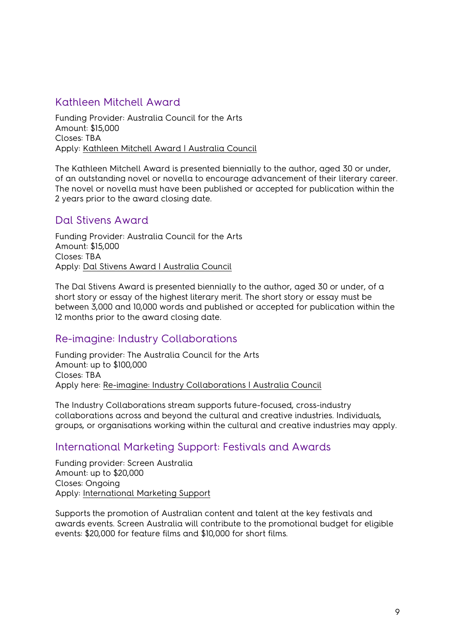# <span id="page-8-0"></span>Kathleen Mitchell Award

Funding Provider: Australia Council for the Arts Amount: \$15,000 Closes: TBA Apply: [Kathleen Mitchell Award | Australia Council](https://www.australiacouncil.gov.au/funding/funding-index/kathleen-mitchell-award/)

The Kathleen Mitchell Award is presented biennially to the author, aged 30 or under, of an outstanding novel or novella to encourage advancement of their literary career. The novel or novella must have been published or accepted for publication within the 2 years prior to the award closing date.

#### <span id="page-8-1"></span>Dal Stivens Award

Funding Provider: Australia Council for the Arts Amount: \$15,000 Closes: TBA Apply: [Dal Stivens Award | Australia Council](https://www.australiacouncil.gov.au/funding/funding-index/dal-stivens-award/)

The Dal Stivens Award is presented biennially to the author, aged 30 or under, of a short story or essay of the highest literary merit. The short story or essay must be between 3,000 and 10,000 words and published or accepted for publication within the 12 months prior to the award closing date.

# <span id="page-8-2"></span>Re-imagine: Industry Collaborations

Funding provider: The Australia Council for the Arts Amount: up to \$100,000 Closes: TBA Apply here: [Re-imagine: Industry Collaborations | Australia Council](https://www.australiacouncil.gov.au/funding/funding-index/re-imagine-industry-collaborations/)

The Industry Collaborations stream supports future-focused, cross-industry collaborations across and beyond the cultural and creative industries. Individuals, groups, or organisations working within the cultural and creative industries may apply.

#### <span id="page-8-3"></span>International Marketing Support: Festivals and Awards

Funding provider: Screen Australia Amount: up to \$20,000 Closes: Ongoing Apply: [International Marketing Support](https://www.screenaustralia.gov.au/funding-and-support/feature-films/festivals-events-awards/festivals-and-awards)

Supports the promotion of Australian content and talent at the key festivals and awards events. Screen Australia will contribute to the promotional budget for eligible events: \$20,000 for feature films and \$10,000 for short films.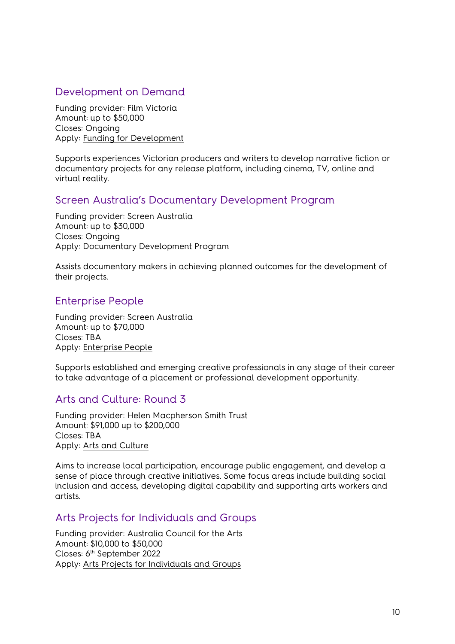# <span id="page-9-0"></span>Development on Demand

Funding provider: Film Victoria Amount: up to \$50,000 Closes: Ongoing Apply: [Funding for Development](https://www.film.vic.gov.au/funding/funding-for-development/)

Supports experiences Victorian producers and writers to develop narrative fiction or documentary projects for any release platform, including cinema, TV, online and virtual reality.

#### <span id="page-9-1"></span>Screen Australia's Documentary Development Program

Funding provider: Screen Australia Amount: up to \$30,000 Closes: Ongoing Apply: [Documentary Development Program](https://www.screenaustralia.gov.au/funding-and-support/documentary/development/documentary-development)

Assists documentary makers in achieving planned outcomes for the development of their projects.

# <span id="page-9-2"></span>Enterprise People

Funding provider: Screen Australia Amount: up to \$70,000 Closes: TBA Apply: [Enterprise People](https://www.screenaustralia.gov.au/funding-and-support/industry-development/people/enterprise-people)

Supports established and emerging creative professionals in any stage of their career to take advantage of a placement or professional development opportunity.

#### <span id="page-9-3"></span>Arts and Culture: Round 3

Funding provider: Helen Macpherson Smith Trust Amount: \$91,000 up to \$200,000 Closes: TBA Apply: [Arts and Culture](https://hmstrust.org.au/applying-for-a-grant/) 

Aims to increase local participation, encourage public engagement, and develop a sense of place through creative initiatives. Some focus areas include building social inclusion and access, developing digital capability and supporting arts workers and artists.

#### <span id="page-9-4"></span>Arts Projects for Individuals and Groups

Funding provider: Australia Council for the Arts Amount: \$10,000 to \$50,000 Closes: 6th September 2022 Apply: [Arts Projects for Individuals and Groups](https://www.australiacouncil.gov.au/funding/funding-index/arts-projects-for-individuals-and-groups/)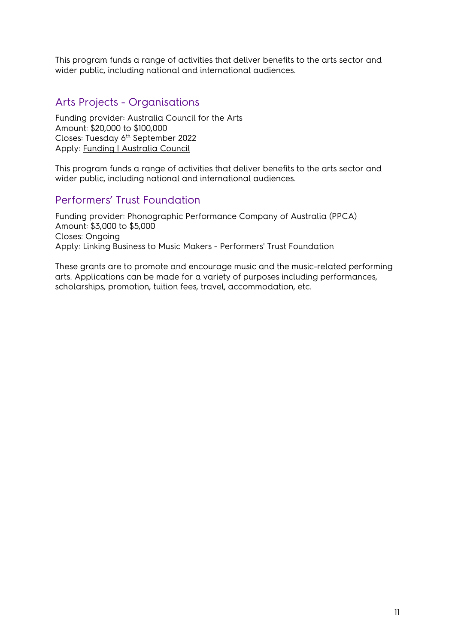This program funds a range of activities that deliver benefits to the arts sector and wider public, including national and international audiences.

# <span id="page-10-0"></span>Arts Projects - Organisations

Funding provider: Australia Council for the Arts Amount: \$20,000 to \$100,000 Closes: Tuesday 6<sup>th</sup> September 2022 Apply: [Funding | Australia Council](https://www.australiacouncil.gov.au/funding/)

This program funds a range of activities that deliver benefits to the arts sector and wider public, including national and international audiences.

# <span id="page-10-1"></span>Performers' Trust Foundation

Funding provider: Phonographic Performance Company of Australia (PPCA) Amount: \$3,000 to \$5,000 Closes: Ongoing Apply: [Linking Business to Music Makers - Performers' Trust Foundation](http://www.ppca.com.au/ppca-about-us/ppca-performers-trust-foundation/)

These grants are to promote and encourage music and the music-related performing arts. Applications can be made for a variety of purposes including performances, scholarships, promotion, tuition fees, travel, accommodation, etc.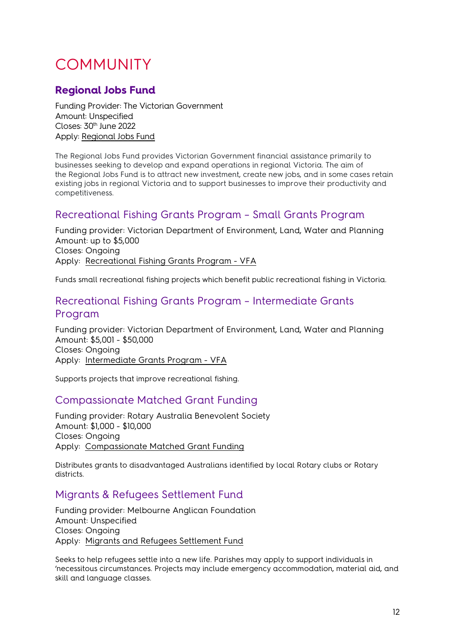# <span id="page-11-0"></span>COMMUNITY

# <span id="page-11-1"></span>**Regional Jobs Fund**

Funding Provider: The Victorian Government Amount: Unspecified Closes: 30<sup>th</sup> June 2022 Apply: [Regional Jobs Fund](https://business.vic.gov.au/grants-and-programs/regional-jobs-fund)

The Regional Jobs Fund provides Victorian Government financial assistance primarily to businesses seeking to develop and expand operations in regional Victoria. The aim of the Regional Jobs Fund is to attract new investment, create new jobs, and in some cases retain existing jobs in regional Victoria and to support businesses to improve their productivity and competitiveness.

# <span id="page-11-2"></span>Recreational Fishing Grants Program – Small Grants Program

Funding provider: Victorian Department of Environment, Land, Water and Planning Amount: up to \$5,000 Closes: Ongoing Apply: [Recreational Fishing Grants Program - VFA](https://vfa.vic.gov.au/recreational-fishing/recreational-fishing-grants-program#utm_source=vfa-vic-gov-au&utm_medium=vanity-url-301ssredirect&utm_content=fishinggrants&utm_campaign=recreational-fishing)

Funds small recreational fishing projects which benefit public recreational fishing in Victoria.

# <span id="page-11-3"></span>Recreational Fishing Grants Program – Intermediate Grants Program

Funding provider: Victorian Department of Environment, Land, Water and Planning Amount: \$5,001 - \$50,000 Closes: Ongoing Apply: [Intermediate Grants Program - VFA](https://vfa.vic.gov.au/recreational-fishing/recreational-fishing-grants-program/intermediate-grants-program)

Supports projects that improve recreational fishing.

# <span id="page-11-4"></span>Compassionate Matched Grant Funding

Funding provider: Rotary Australia Benevolent Society Amount: \$1,000 - \$10,000 Closes: Ongoing Apply: [Compassionate Matched Grant Funding](http://rawcs.org.au/projects-2/rotary-australia-benevolent-society/dick-smith-matched-funding-grant/) 

Distributes grants to disadvantaged Australians identified by local Rotary clubs or Rotary districts.

# <span id="page-11-5"></span>Migrants & Refugees Settlement Fund

Funding provider: Melbourne Anglican Foundation Amount: Unspecified Closes: Ongoing Apply: [Migrants and Refugees Settlement Fund](https://www.melbourneanglican.org.au/melbourne-anglican-foundation/migrants-and-refugees-settlement-fund/)

Seeks to help refugees settle into a new life. Parishes may apply to support individuals in 'necessitous circumstances. Projects may include emergency accommodation, material aid, and skill and language classes.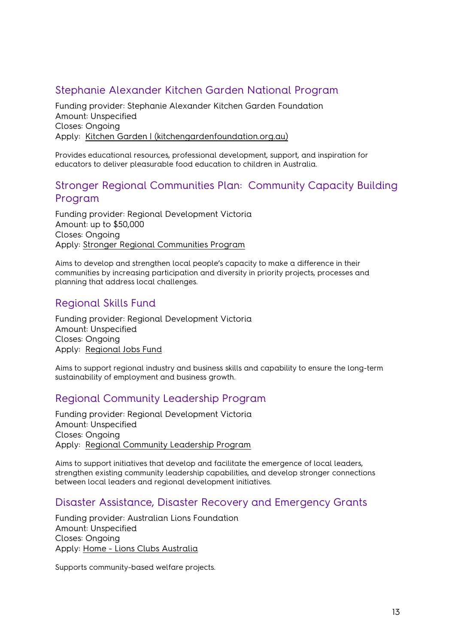# <span id="page-12-0"></span>Stephanie Alexander Kitchen Garden National Program

Funding provider: Stephanie Alexander Kitchen Garden Foundation Amount: Unspecified Closes: Ongoing Apply: [Kitchen Garden | \(kitchengardenfoundation.org.au\)](https://www.kitchengardenfoundation.org.au/)

Provides educational resources, professional development, support, and inspiration for educators to deliver pleasurable food education to children in Australia.

#### <span id="page-12-1"></span>Stronger Regional Communities Plan: Community Capacity Building Program

Funding provider: Regional Development Victoria Amount: up to \$50,000 Closes: Ongoing Apply: [Stronger Regional Communities Program](https://www.rdv.vic.gov.au/grants-and-programs/stronger-regional-communities-program) 

Aims to develop and strengthen local people's capacity to make a difference in their communities by increasing participation and diversity in priority projects, processes and planning that address local challenges.

#### <span id="page-12-2"></span>Regional Skills Fund

Funding provider: Regional Development Victoria Amount: Unspecified Closes: Ongoing Apply: [Regional Jobs Fund](https://www.rdv.vic.gov.au/grants-and-programs/regional-jobs-fund) 

Aims to support regional industry and business skills and capability to ensure the long-term sustainability of employment and business growth.

#### <span id="page-12-3"></span>Regional Community Leadership Program

Funding provider: Regional Development Victoria Amount: Unspecified Closes: Ongoing Apply: [Regional Community Leadership Program](https://www.rdv.vic.gov.au/grants-and-programs/regional-community-leadership-program) 

Aims to support initiatives that develop and facilitate the emergence of local leaders, strengthen existing community leadership capabilities, and develop stronger connections between local leaders and regional development initiatives.

#### <span id="page-12-4"></span>Disaster Assistance, Disaster Recovery and Emergency Grants

Funding provider: Australian Lions Foundation Amount: Unspecified Closes: Ongoing Apply: [Home - Lions Clubs Australia](https://lionsclubs.org.au/)

Supports community-based welfare projects.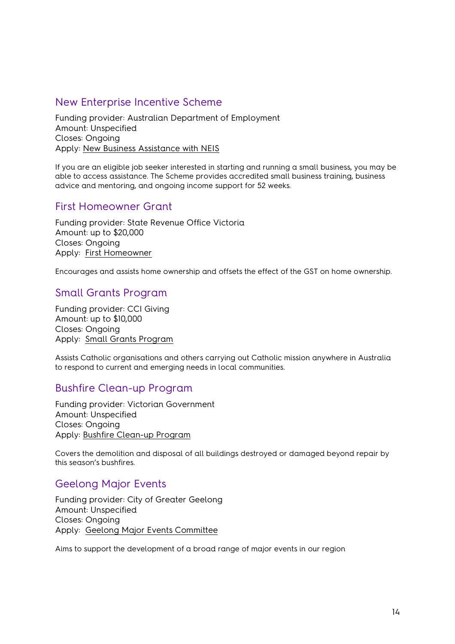# <span id="page-13-0"></span>New Enterprise Incentive Scheme

Funding provider: Australian Department of Employment Amount: Unspecified Closes: Ongoing Apply: [New Business Assistance with NEIS](https://www.dese.gov.au/new-business-assistance-neis) 

If you are an eligible job seeker interested in starting and running a small business, you may be able to access assistance. The Scheme provides accredited small business training, business advice and mentoring, and ongoing income support for 52 weeks.

# <span id="page-13-1"></span>First Homeowner Grant

Funding provider: State Revenue Office Victoria Amount: up to \$20,000 Closes: Ongoing Apply: [First Homeowner](https://www.sro.vic.gov.au/first-home-owner)

Encourages and assists home ownership and offsets the effect of the GST on home ownership.

# <span id="page-13-2"></span>Small Grants Program

Funding provider: CCI Giving Amount: up to \$10,000 Closes: Ongoing Apply: [Small Grants Program](https://www.ussc.edu.au/research/small-grants-program)

Assists Catholic organisations and others carrying out Catholic mission anywhere in Australia to respond to current and emerging needs in local communities.

#### <span id="page-13-3"></span>Bushfire Clean-up Program

Funding provider: Victorian Government Amount: Unspecified Closes: Ongoing Apply: [Bushfire Clean-up Program](https://www.vic.gov.au/bushfire-clean-up-program) 

Covers the demolition and disposal of all buildings destroyed or damaged beyond repair by this season's bushfires.

# <span id="page-13-4"></span>Geelong Major Events

Funding provider: City of Greater Geelong Amount: Unspecified Closes: Ongoing Apply: [Geelong Major Events Committee](https://www.geelongaustralia.com.au/events/gme/article/item/8cb9094b57a01d6.aspx)

Aims to support the development of a broad range of major events in our region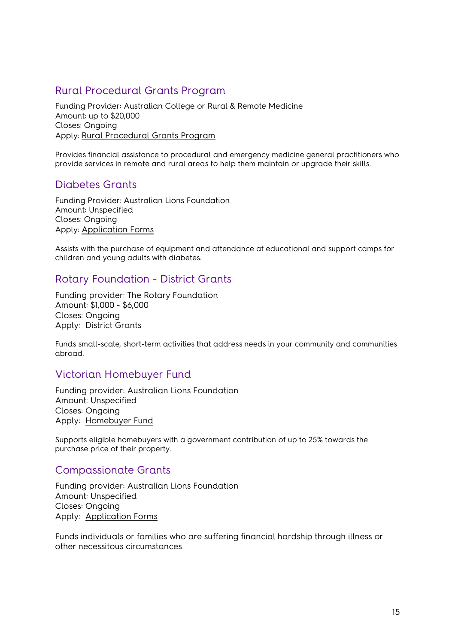# <span id="page-14-0"></span>Rural Procedural Grants Program

Funding Provider: Australian College or Rural & Remote Medicine Amount: up to \$20,000 Closes: Ongoing Apply: [Rural Procedural Grants Program](https://business.gov.au/grants-and-programs/Rural-Procedural-Grants-Program) 

Provides financial assistance to procedural and emergency medicine general practitioners who provide services in remote and rural areas to help them maintain or upgrade their skills.

# <span id="page-14-1"></span>Diabetes Grants

Funding Provider: Australian Lions Foundation Amount: Unspecified Closes: Ongoing Apply: [Application Forms](https://alf.org.au/application-forms/)

Assists with the purchase of equipment and attendance at educational and support camps for children and young adults with diabetes.

#### <span id="page-14-2"></span>Rotary Foundation - District Grants

Funding provider: The Rotary Foundation Amount: \$1,000 - \$6,000 Closes: Ongoing Apply: [District Grants](https://my.rotary.org/en/take-action/apply-grants/district-grants)

Funds small-scale, short-term activities that address needs in your community and communities abroad.

#### <span id="page-14-3"></span>Victorian Homebuyer Fund

Funding provider: Australian Lions Foundation Amount: Unspecified Closes: Ongoing Apply: [Homebuyer Fund](https://www.sro.vic.gov.au/homebuyer)

Supports eligible homebuyers with a government contribution of up to 25% towards the purchase price of their property.

#### <span id="page-14-4"></span>Compassionate Grants

Funding provider: Australian Lions Foundation Amount: Unspecified Closes: Ongoing Apply: [Application Forms](https://alf.org.au/application-forms/) 

Funds individuals or families who are suffering financial hardship through illness or other necessitous circumstances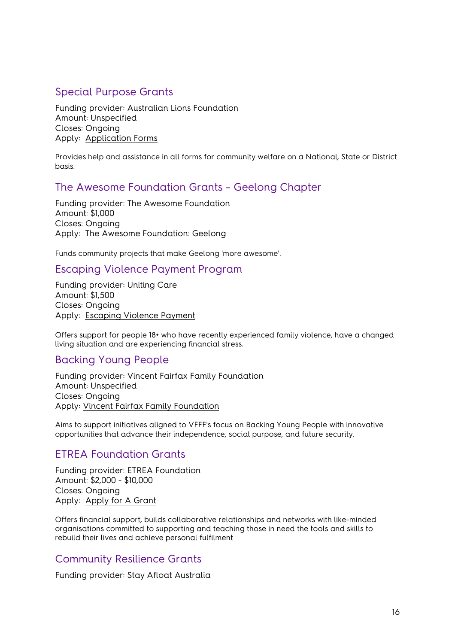# <span id="page-15-0"></span>Special Purpose Grants

Funding provider: Australian Lions Foundation Amount: Unspecified Closes: Ongoing Apply: [Application Forms](https://alf.org.au/application-forms/) 

Provides help and assistance in all forms for community welfare on a National, State or District basis.

# <span id="page-15-1"></span>The Awesome Foundation Grants – Geelong Chapter

Funding provider: The Awesome Foundation Amount: \$1,000 Closes: Ongoing Apply: [The Awesome Foundation:](https://www.awesomefoundation.org/en/chapters/geelong) Geelong

<span id="page-15-2"></span>Funds community projects that make Geelong 'more awesome'.

#### <span id="page-15-3"></span>Escaping Violence Payment Program

Funding provider: Uniting Care Amount: \$1,500 Closes: Ongoing Apply: [Escaping Violence Payment](https://www.unitingvictas.org.au/services/family-services/family-violence-services/escaping-violence-payment/)

<span id="page-15-4"></span>Offers support for people 18+ who have recently experienced family violence, have a changed living situation and are experiencing financial stress.

#### <span id="page-15-5"></span>Backing Young People

Funding provider: Vincent Fairfax Family Foundation Amount: Unspecified Closes: Ongoing Apply: [Vincent Fairfax Family Foundation](https://vfff.org.au/)

Aims to support initiatives aligned to VFFF's focus on Backing Young People with innovative opportunities that advance their independence, social purpose, and future security.

#### <span id="page-15-6"></span>ETREA Foundation Grants

Funding provider: ETREA Foundation Amount: \$2,000 - \$10,000 Closes: Ongoing Apply: [Apply for A Grant](https://www.etrea.com.au/apply-for-a-grant/)

Offers financial support, builds collaborative relationships and networks with like-minded organisations committed to supporting and teaching those in need the tools and skills to rebuild their lives and achieve personal fulfilment

# <span id="page-15-7"></span>Community Resilience Grants

Funding provider: Stay Afloat Australia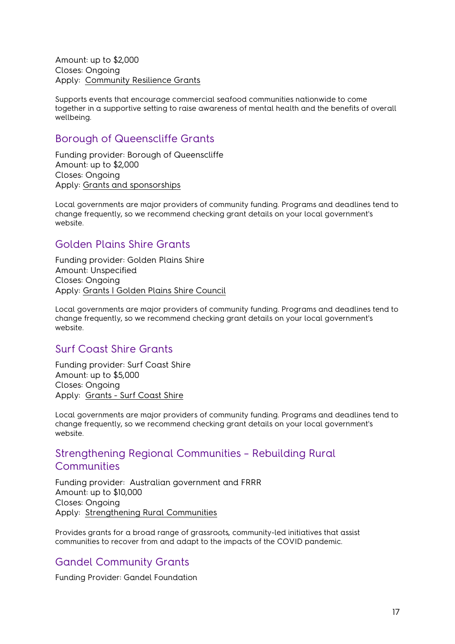Amount: up to \$2,000 Closes: Ongoing Apply: [Community Resilience Grants](https://www.stayafloat.com.au/grants/) 

Supports events that encourage commercial seafood communities nationwide to come together in a supportive setting to raise awareness of mental health and the benefits of overall wellbeing.

#### <span id="page-16-0"></span>Borough of Queenscliffe Grants

Funding provider: Borough of Queenscliffe Amount: up to \$2,000 Closes: Ongoing Apply: [Grants and sponsorships](https://www.queenscliffe.vic.gov.au/Your-Council/Grants-and-sponsorships)

Local governments are major providers of community funding. Programs and deadlines tend to change frequently, so we recommend checking grant details on your local government's website.

# <span id="page-16-1"></span>Golden Plains Shire Grants

Funding provider: Golden Plains Shire Amount: Unspecified Closes: Ongoing Apply: [Grants | Golden Plains Shire Council](https://www.goldenplains.vic.gov.au/community/grants)

Local governments are major providers of community funding. Programs and deadlines tend to change frequently, so we recommend checking grant details on your local government's website.

# <span id="page-16-2"></span>Surf Coast Shire Grants

Funding provider: Surf Coast Shire Amount: up to \$5,000 Closes: Ongoing Apply: [Grants - Surf Coast Shire](https://www.surfcoast.vic.gov.au/Community/Grants)

Local governments are major providers of community funding. Programs and deadlines tend to change frequently, so we recommend checking grant details on your local government's website.

#### <span id="page-16-3"></span>Strengthening Regional Communities – Rebuilding Rural **Communities**

Funding provider: Australian government and FRRR Amount: up to \$10,000 Closes: Ongoing Apply: [Strengthening Rural Communities](https://frrr.org.au/funding/place/src-rebuilding-regional-communities/) 

Provides grants for a broad range of grassroots, community-led initiatives that assist communities to recover from and adapt to the impacts of the COVID pandemic.

# <span id="page-16-4"></span>Gandel Community Grants

Funding Provider: Gandel Foundation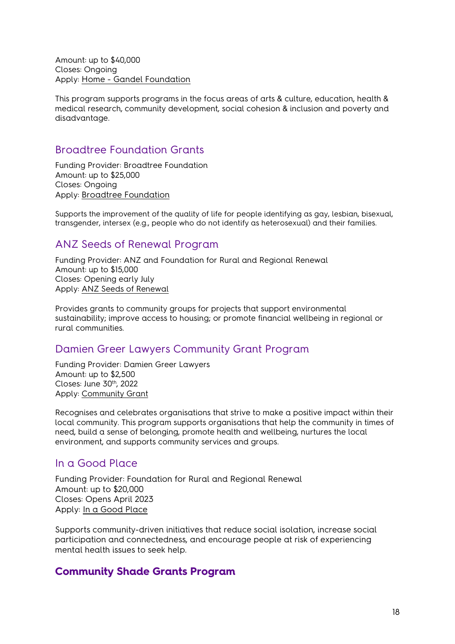Amount: up to \$40,000 Closes: Ongoing Apply: [Home - Gandel Foundation](https://gandelfoundation.org.au/)

This program supports programs in the focus areas of arts & culture, education, health & medical research, community development, social cohesion & inclusion and poverty and disadvantage.

#### <span id="page-17-0"></span>Broadtree Foundation Grants

Funding Provider: Broadtree Foundation Amount: up to \$25,000 Closes: Ongoing Apply: [Broadtree Foundation](https://www.broadtreefoundation.org/)

Supports the improvement of the quality of life for people identifying as gay, lesbian, bisexual, transgender, intersex (e.g., people who do not identify as heterosexual) and their families.

# <span id="page-17-1"></span>ANZ Seeds of Renewal Program

Funding Provider: ANZ and Foundation for Rural and Regional Renewal Amount: up to \$15,000 Closes: Opening early July Apply: [ANZ Seeds of Renewal](https://frrr.org.au/funding/people-grants/anz-seeds-of-renewal/)

Provides grants to community groups for projects that support environmental sustainability; improve access to housing; or promote financial wellbeing in regional or rural communities.

# <span id="page-17-2"></span>Damien Greer Lawyers Community Grant Program

Funding Provider: Damien Greer Lawyers Amount: up to \$2,500 Closes: June 30<sup>th</sup>, 2022 Apply: [Community Grant](https://damiengreer.com.au/community-grant/)

Recognises and celebrates organisations that strive to make a positive impact within their local community. This program supports organisations that help the community in times of need, build a sense of belonging, promote health and wellbeing, nurtures the local environment, and supports community services and groups.

# <span id="page-17-3"></span>In a Good Place

Funding Provider: Foundation for Rural and Regional Renewal Amount: up to \$20,000 Closes: Opens April 2023 Apply: [In a Good Place](https://frrr.org.au/funding/place/in-a-good-place/)

Supports community-driven initiatives that reduce social isolation, increase social participation and connectedness, and encourage people at risk of experiencing mental health issues to seek help.

# <span id="page-17-4"></span>**Community Shade Grants Program**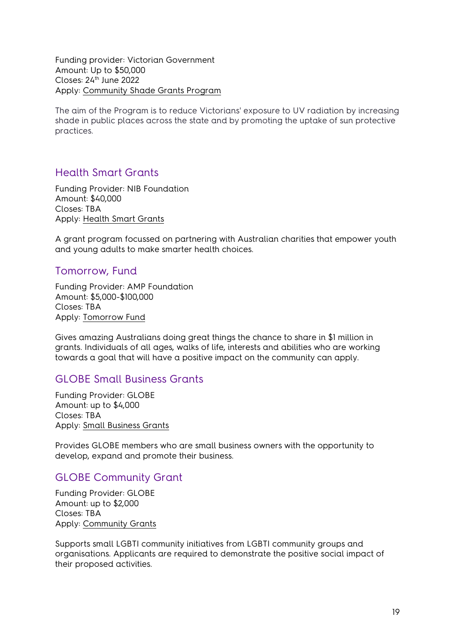Funding provider: Victorian Government Amount: Up to \$50,000 Closes: 24th June 2022 Apply: [Community Shade Grants Program](https://www.health.vic.gov.au/preventive-health/shade-grants-program)

The aim of the Program is to reduce Victorians' exposure to UV radiation by increasing shade in public places across the state and by promoting the uptake of sun protective practices.

#### <span id="page-18-0"></span>Health Smart Grants

Funding Provider: NIB Foundation Amount: \$40,000 Closes: TBA Apply: [Health Smart Grants](https://www.nib.com.au/foundation/health-smart-grants)

A grant program focussed on partnering with Australian charities that empower youth and young adults to make smarter health choices.

#### <span id="page-18-1"></span>Tomorrow, Fund

Funding Provider: AMP Foundation Amount: \$5,000-\$100,000 Closes: TBA Apply: [Tomorrow Fund](https://www.ampstomorrowfund.com.au/)

Gives amazing Australians doing great things the chance to share in \$1 million in grants. Individuals of all ages, walks of life, interests and abilities who are working towards a goal that will have a positive impact on the community can apply.

#### <span id="page-18-2"></span>GLOBE Small Business Grants

Funding Provider: GLOBE Amount: up to \$4,000 Closes: TBA Apply: [Small Business Grants](https://globevictoria.com.au/about-globe/community-grants-2/)

Provides GLOBE members who are small business owners with the opportunity to develop, expand and promote their business.

#### <span id="page-18-3"></span>GLOBE Community Grant

Funding Provider: GLOBE Amount: up to \$2,000 Closes: TBA Apply: [Community Grants](https://globevictoria.com.au/about-globe/community-grants-2/)

Supports small LGBTI community initiatives from LGBTI community groups and organisations. Applicants are required to demonstrate the positive social impact of their proposed activities.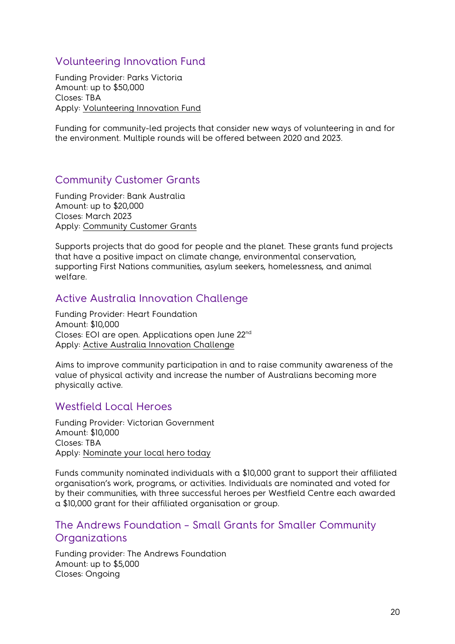# <span id="page-19-0"></span>Volunteering Innovation Fund

Funding Provider: Parks Victoria Amount: up to \$50,000 Closes: TBA Apply: [Volunteering Innovation Fund](https://www.parks.vic.gov.au/get-into-nature/volunteering/volunteering-innovation-fund)

Funding for community-led projects that consider new ways of volunteering in and for the environment. Multiple rounds will be offered between 2020 and 2023.

# <span id="page-19-1"></span>Community Customer Grants

Funding Provider: Bank Australia Amount: up to \$20,000 Closes: March 2023 Apply: [Community Customer Grants](https://www.bankaust.com.au/responsible-banking/bank-australia-impact-fund/customer-grants)

Supports projects that do good for people and the planet. These grants fund projects that have a positive impact on climate change, environmental conservation, supporting First Nations communities, asylum seekers, homelessness, and animal welfare.

# <span id="page-19-2"></span>Active Australia Innovation Challenge

Funding Provider: Heart Foundation Amount: \$10,000 Closes: EOI are open. Applications open June 22nd Apply: [Active Australia Innovation Challenge](https://campaigns.heartfoundation.org.au/aaic/)

Aims to improve community participation in and to raise community awareness of the value of physical activity and increase the number of Australians becoming more physically active.

#### <span id="page-19-3"></span>Westfield Local Heroes

Funding Provider: Victorian Government Amount: \$10,000 Closes: TBA Apply: [Nominate your local hero today](https://www.westfield.com.au/local-heroes)

Funds community nominated individuals with a \$10,000 grant to support their affiliated organisation's work, programs, or activities. Individuals are nominated and voted for by their communities, with three successful heroes per Westfield Centre each awarded a \$10,000 grant for their affiliated organisation or group.

#### <span id="page-19-4"></span>The Andrews Foundation – Small Grants for Smaller Community **Organizations**

Funding provider: The Andrews Foundation Amount: up to \$5,000 Closes: Ongoing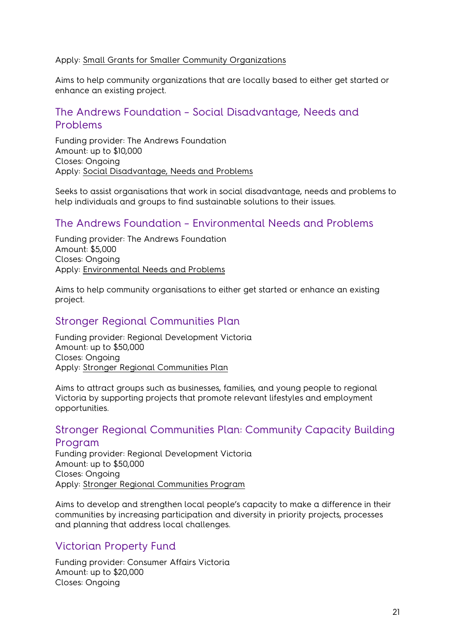#### Apply: [Small Grants for Smaller Community Organizations](https://andrewsfoundation.org.au/)

Aims to help community organizations that are locally based to either get started or enhance an existing project.

# <span id="page-20-0"></span>The Andrews Foundation – Social Disadvantage, Needs and Problems

Funding provider: The Andrews Foundation Amount: up to \$10,000 Closes: Ongoing Apply: [Social Disadvantage, Needs and Problems](https://andrewsfoundation.org.au/)

Seeks to assist organisations that work in social disadvantage, needs and problems to help individuals and groups to find sustainable solutions to their issues.

#### <span id="page-20-1"></span>The Andrews Foundation – Environmental Needs and Problems

Funding provider: The Andrews Foundation Amount: \$5,000 Closes: Ongoing Apply: [Environmental Needs and Problems](https://andrewsfoundation.org.au/) 

Aims to help community organisations to either get started or enhance an existing project.

#### <span id="page-20-2"></span>Stronger Regional Communities Plan

Funding provider: Regional Development Victoria Amount: up to \$50,000 Closes: Ongoing Apply: [Stronger Regional Communities Plan](https://www.rdv.vic.gov.au/grants-and-programs/stronger-regional-communities-program)

Aims to attract groups such as businesses, families, and young people to regional Victoria by supporting projects that promote relevant lifestyles and employment opportunities.

#### <span id="page-20-3"></span>Stronger Regional Communities Plan: Community Capacity Building Program

Funding provider: Regional Development Victoria Amount: up to \$50,000 Closes: Ongoing Apply: [Stronger Regional Communities Program](https://www.rdv.vic.gov.au/grants-and-programs/stronger-regional-communities-program)

Aims to develop and strengthen local people's capacity to make a difference in their communities by increasing participation and diversity in priority projects, processes and planning that address local challenges.

#### <span id="page-20-4"></span>Victorian Property Fund

Funding provider: Consumer Affairs Victoria Amount: up to \$20,000 Closes: Ongoing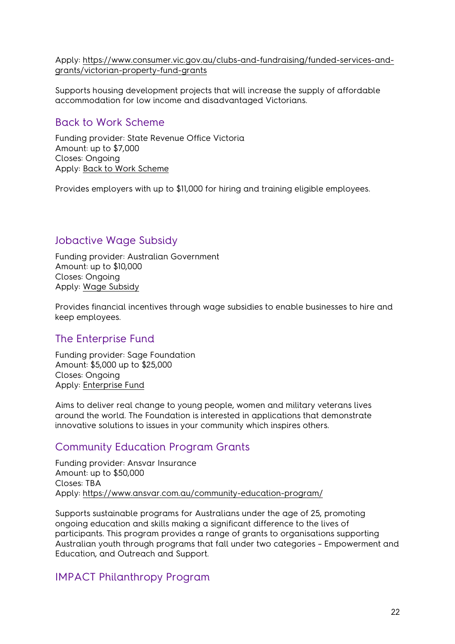Apply: [https://www.consumer.vic.gov.au/clubs-and-fundraising/funded-services-and](https://www.consumer.vic.gov.au/clubs-and-fundraising/funded-services-and-grants/victorian-property-fund-grants)[grants/victorian-property-fund-grants](https://www.consumer.vic.gov.au/clubs-and-fundraising/funded-services-and-grants/victorian-property-fund-grants)

Supports housing development projects that will increase the supply of affordable accommodation for low income and disadvantaged Victorians.

#### <span id="page-21-0"></span>Back to Work Scheme

Funding provider: State Revenue Office Victoria Amount: up to \$7,000 Closes: Ongoing Apply: [Back to Work Scheme](https://www.sro.vic.gov.au/backtowork)

Provides employers with up to \$11,000 for hiring and training eligible employees.

# <span id="page-21-1"></span>Jobactive Wage Subsidy

Funding provider: Australian Government Amount: up to \$10,000 Closes: Ongoing Apply: [Wage Subsidy](https://jobsearch.gov.au/employer-info/wage-subsidies)

Provides financial incentives through wage subsidies to enable businesses to hire and keep employees.

#### <span id="page-21-2"></span>The Enterprise Fund

Funding provider: Sage Foundation Amount: \$5,000 up to \$25,000 Closes: Ongoing Apply: [Enterprise Fund](https://www.sage.com/en-gb/company/sage-foundation/support-and-funding/)

Aims to deliver real change to young people, women and military veterans lives around the world. The Foundation is interested in applications that demonstrate innovative solutions to issues in your community which inspires others.

# <span id="page-21-3"></span>Community Education Program Grants

Funding provider: Ansvar Insurance Amount: up to \$50,000 Closes: TBA Apply:<https://www.ansvar.com.au/community-education-program/>

Supports sustainable programs for Australians under the age of 25, promoting ongoing education and skills making a significant difference to the lives of participants. This program provides a range of grants to organisations supporting Australian youth through programs that fall under two categories – Empowerment and Education, and Outreach and Support.

#### <span id="page-21-4"></span>IMPACT Philanthropy Program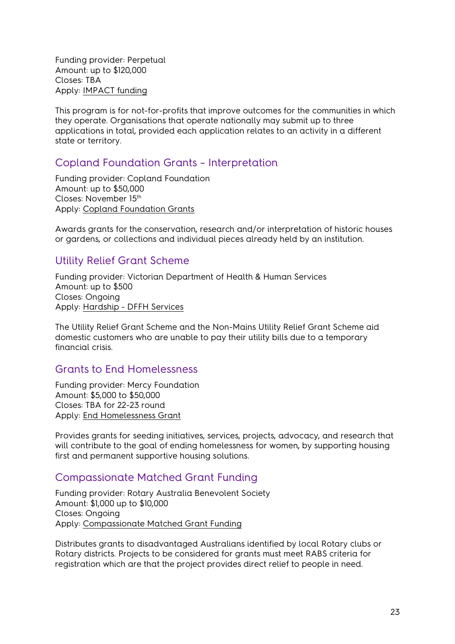Funding provider: Perpetual Amount: up to \$120,000 Closes: TBA Apply: [IMPACT funding](https://www.perpetual.com.au/advice-and-trustee-services/impact-philanthropy/impact-funding) 

This program is for not-for-profits that improve outcomes for the communities in which they operate. Organisations that operate nationally may submit up to three applications in total, provided each application relates to an activity in a different state or territory.

#### <span id="page-22-0"></span>Copland Foundation Grants – Interpretation

Funding provider: Copland Foundation Amount: up to \$50,000 Closes: November 15th Apply: [Copland Foundation Grants](https://www.coplandfoundation.com.au/grants)

Awards grants for the conservation, research and/or interpretation of historic houses or gardens, or collections and individual pieces already held by an institution.

#### <span id="page-22-1"></span>Utility Relief Grant Scheme

Funding provider: Victorian Department of Health & Human Services Amount: up to \$500 Closes: Ongoing Apply: [Hardship - DFFH Services](https://services.dffh.vic.gov.au/hardship)

The Utility Relief Grant Scheme and the Non-Mains Utility Relief Grant Scheme aid domestic customers who are unable to pay their utility bills due to a temporary financial crisis.

#### <span id="page-22-2"></span>Grants to End Homelessness

Funding provider: Mercy Foundation Amount: \$5,000 to \$50,000 Closes: TBA for 22-23 round Apply: [End Homelessness Grant](https://www.mercyfoundation.com.au/social-justice-grants/grants-to-end-homelessness/)

Provides grants for seeding initiatives, services, projects, advocacy, and research that will contribute to the goal of ending homelessness for women, by supporting housing first and permanent supportive housing solutions.

#### <span id="page-22-3"></span>Compassionate Matched Grant Funding

Funding provider: Rotary Australia Benevolent Society Amount: \$1,000 up to \$10,000 Closes: Ongoing Apply: [Compassionate Matched Grant Funding](http://rawcs.org.au/projects-2/rotary-australia-benevolent-society/dick-smith-matched-funding-grant/) 

Distributes grants to disadvantaged Australians identified by local Rotary clubs or Rotary districts. Projects to be considered for grants must meet RABS criteria for registration which are that the project provides direct relief to people in need.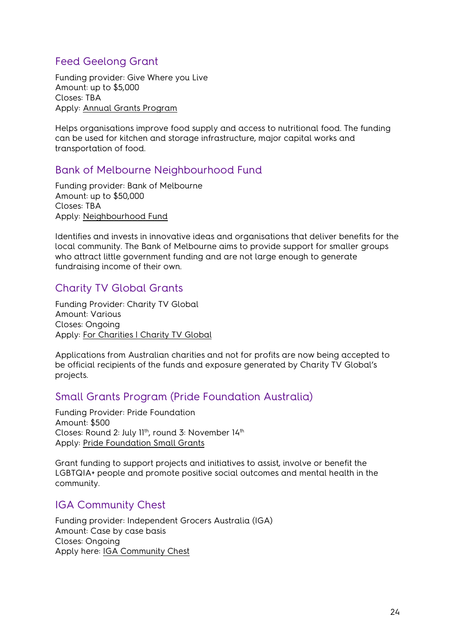# <span id="page-23-0"></span>Feed Geelong Grant

Funding provider: Give Where you Live Amount: up to \$5,000 Closes: TBA Apply: [Annual Grants Program](https://www.givewhereyoulive.com.au/grants/annual-grants-program/apply-for-a-grant)

Helps organisations improve food supply and access to nutritional food. The funding can be used for kitchen and storage infrastructure, major capital works and transportation of food.

#### <span id="page-23-1"></span>Bank of Melbourne Neighbourhood Fund

Funding provider: Bank of Melbourne Amount: up to \$50,000 Closes: TBA Apply: [Neighbourhood Fund](http://info.bankofmelbourne.com.au/foundation/) 

Identifies and invests in innovative ideas and organisations that deliver benefits for the local community. The Bank of Melbourne aims to provide support for smaller groups who attract little government funding and are not large enough to generate fundraising income of their own.

# <span id="page-23-2"></span>Charity TV Global Grants

Funding Provider: Charity TV Global Amount: Various Closes: Ongoing Apply: [For Charities | Charity TV Global](https://www.charitytvglobal.com/for-charities/)

Applications from Australian charities and not for profits are now being accepted to be official recipients of the funds and exposure generated by Charity TV Global's projects.

#### <span id="page-23-3"></span>Small Grants Program (Pride Foundation Australia)

Funding Provider: Pride Foundation Amount: \$500 Closes: Round 2: July 11th, round 3: November 14th Apply: [Pride Foundation Small Grants](https://pridefoundation.org.au/pages/small-grants/)

Grant funding to support projects and initiatives to assist, involve or benefit the LGBTQIA+ people and promote positive social outcomes and mental health in the community.

#### <span id="page-23-4"></span>IGA Community Chest

Funding provider: Independent Grocers Australia (IGA) Amount: Case by case basis Closes: Ongoing Apply here: [IGA Community Chest](https://www.iga.com.au/community-chest/)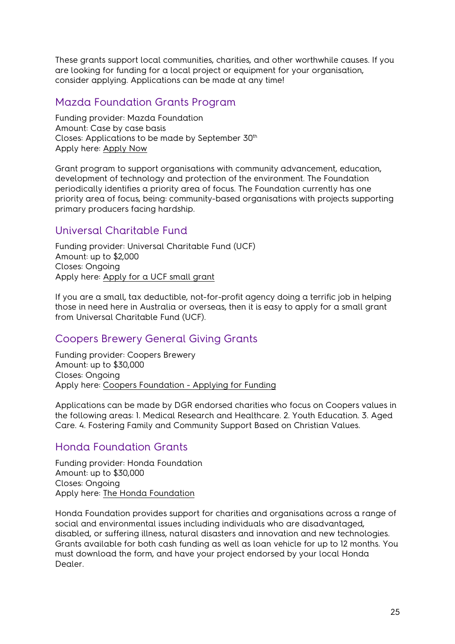These grants support local communities, charities, and other worthwhile causes. If you are looking for funding for a local project or equipment for your organisation, consider applying. Applications can be made at any time!

# <span id="page-24-0"></span>Mazda Foundation Grants Program

Funding provider: Mazda Foundation Amount: Case by case basis Closes: Applications to be made by September 30<sup>th</sup> Apply here: [Apply Now](http://mazdafoundation.org.au/obtaining-funding/)

Grant program to support organisations with community advancement, education, development of technology and protection of the environment. The Foundation periodically identifies a priority area of focus. The Foundation currently has one priority area of focus, being: community-based organisations with projects supporting primary producers facing hardship.

# <span id="page-24-1"></span>Universal Charitable Fund

Funding provider: Universal Charitable Fund (UCF) Amount: up to \$2,000 Closes: Ongoing Apply here: [Apply for a UCF small grant](http://ucf.org.au/apply/)

If you are a small, tax deductible, not-for-profit agency doing a terrific job in helping those in need here in Australia or overseas, then it is easy to apply for a small grant from Universal Charitable Fund (UCF).

# <span id="page-24-2"></span>Coopers Brewery General Giving Grants

Funding provider: Coopers Brewery Amount: up to \$30,000 Closes: Ongoing Apply here: [Coopers Foundation - Applying for Funding](https://coopers.com.au/foundation/apply-for-funding)

Applications can be made by DGR endorsed charities who focus on Coopers values in the following areas: 1. Medical Research and Healthcare. 2. Youth Education. 3. Aged Care. 4. Fostering Family and Community Support Based on Christian Values.

# <span id="page-24-3"></span>Honda Foundation Grants

Funding provider: Honda Foundation Amount: up to \$30,000 Closes: Ongoing Apply here: [The Honda Foundation](https://www.thehondafoundation.com.au/)

Honda Foundation provides support for charities and organisations across a range of social and environmental issues including individuals who are disadvantaged, disabled, or suffering illness, natural disasters and innovation and new technologies. Grants available for both cash funding as well as loan vehicle for up to 12 months. You must download the form, and have your project endorsed by your local Honda Dealer.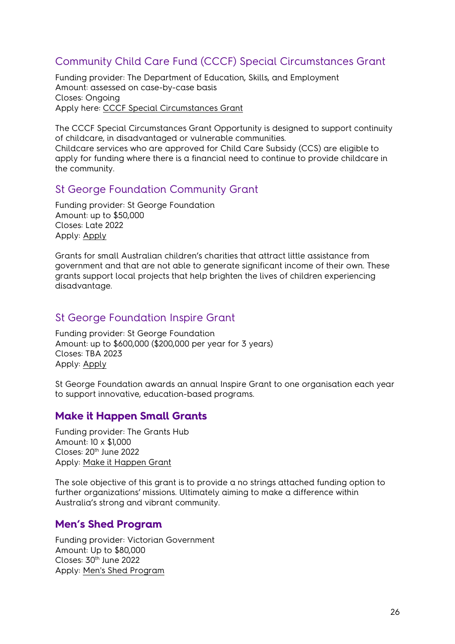# <span id="page-25-0"></span>Community Child Care Fund (CCCF) Special Circumstances Grant

Funding provider: The Department of Education, Skills, and Employment Amount: assessed on case-by-case basis Closes: Ongoing Apply here: [CCCF Special Circumstances Grant](https://www.dese.gov.au/community-child-care-fund/special-circumstances)

The CCCF Special Circumstances Grant Opportunity is designed to support continuity of childcare, in disadvantaged or vulnerable communities. Childcare services who are approved for Child Care Subsidy (CCS) are eligible to apply for funding where there is a financial need to continue to provide childcare in the community.

#### <span id="page-25-1"></span>St George Foundation Community Grant

Funding provider: St George Foundation Amount: up to \$50,000 Closes: Late 2022 Apply: [Apply](https://www.stgeorgefoundation.com.au/apply)

Grants for small Australian children's charities that attract little assistance from government and that are not able to generate significant income of their own. These grants support local projects that help brighten the lives of children experiencing disadvantage.

#### <span id="page-25-2"></span>St George Foundation Inspire Grant

Funding provider: St George Foundation Amount: up to \$600,000 (\$200,000 per year for 3 years) Closes: TBA 2023 Apply: [Apply](https://www.stgeorgefoundation.com.au/apply)

St George Foundation awards an annual Inspire Grant to one organisation each year to support innovative, education-based programs.

#### <span id="page-25-3"></span>**Make it Happen Small Grants**

Funding provider: The Grants Hub Amount: 10 x \$1,000 Closes: 20<sup>th</sup> June 2022 Apply: [Make it Happen Grant](https://www.thegrantshub.com.au/make-it-happen-grants-2022)

The sole objective of this grant is to provide a no strings attached funding option to further organizations' missions. Ultimately aiming to make a difference within Australia's strong and vibrant community.

#### <span id="page-25-4"></span>**Men's Shed Program**

Funding provider: Victorian Government Amount: Up to \$80,000 Closes: 30<sup>th</sup> June 2022 Apply: [Men's Shed Program](https://providers.dffh.vic.gov.au/mens-shed-program)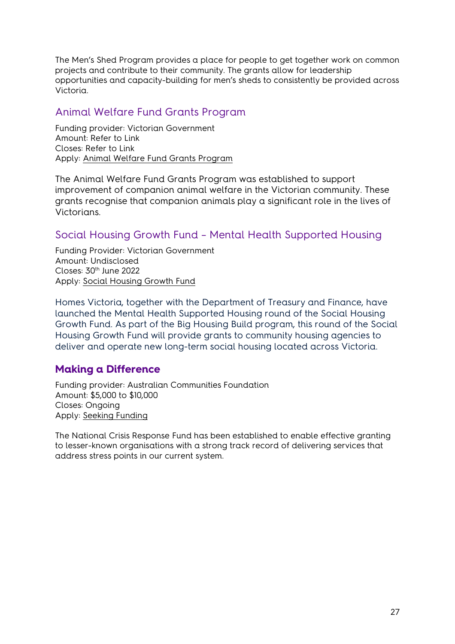The Men's Shed Program provides a place for people to get together work on common projects and contribute to their community. The grants allow for leadership opportunities and capacity-building for men's sheds to consistently be provided across Victoria.

# <span id="page-26-0"></span>Animal Welfare Fund Grants Program

Funding provider: Victorian Government Amount: Refer to Link Closes: Refer to Link Apply: [Animal Welfare Fund Grants Program](https://agriculture.vic.gov.au/livestock-and-animals/animal-welfare-victoria/community-and-education/animal-welfare-fund-grants-program#h2-1)

The Animal Welfare Fund Grants Program was established to support improvement of companion animal welfare in the Victorian community. These grants recognise that companion animals play a significant role in the lives of Victorians.

# <span id="page-26-1"></span>Social Housing Growth Fund – Mental Health Supported Housing

Funding Provider: Victorian Government Amount: Undisclosed Closes: 30<sup>th</sup> June 2022 Apply: [Social Housing Growth Fund](https://www.vic.gov.au/social-housing-growth-fund-mental-health)

Homes Victoria, together with the Department of Treasury and Finance, have launched the Mental Health Supported Housing round of the Social Housing Growth Fund. As part of the Big Housing Build program, this round of the Social Housing Growth Fund will provide grants to community housing agencies to deliver and operate new long-term social housing located across Victoria.

# <span id="page-26-2"></span>**Making a Difference**

Funding provider: Australian Communities Foundation Amount: \$5,000 to \$10,000 Closes: Ongoing Apply: [Seeking Funding](https://communityfoundation.org.au/making-a-difference/seeking-funding/)

The National Crisis Response Fund has been established to enable effective granting to lesser-known organisations with a strong track record of delivering services that address stress points in our current system.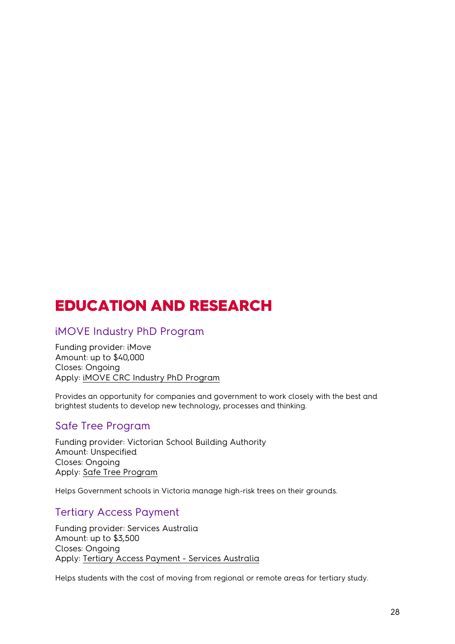# <span id="page-27-0"></span>EDUCATION AND RESEARCH

#### <span id="page-27-1"></span>iMOVE Industry PhD Program

Funding provider: iMove Amount: up to \$40,000 Closes: Ongoing Apply: [iMOVE CRC Industry PhD Program](https://imoveaustralia.com/industry-phd-program/) 

Provides an opportunity for companies and government to work closely with the best and brightest students to develop new technology, processes and thinking.

#### <span id="page-27-2"></span>Safe Tree Program

Funding provider: Victorian School Building Authority Amount: Unspecified Closes: Ongoing Apply: [Safe Tree Program](https://www.schoolbuildings.vic.gov.au/safe-tree-program)

Helps Government schools in Victoria manage high-risk trees on their grounds.

#### <span id="page-27-3"></span>Tertiary Access Payment

Funding provider: Services Australia Amount: up to \$3,500 Closes: Ongoing Apply: [Tertiary Access Payment - Services Australia](https://www.servicesaustralia.gov.au/tertiary-access-payment)

Helps students with the cost of moving from regional or remote areas for tertiary study.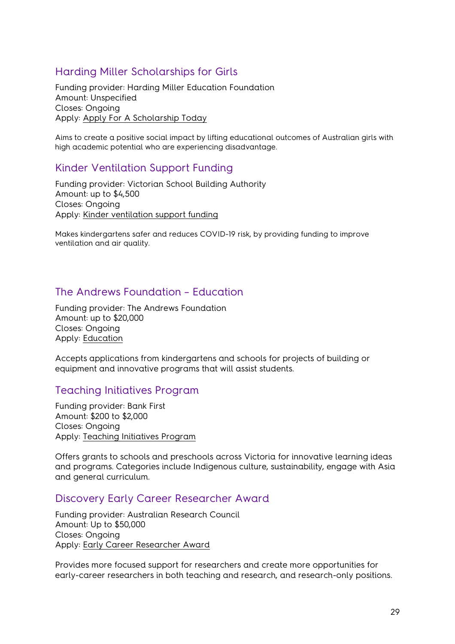# <span id="page-28-0"></span>Harding Miller Scholarships for Girls

Funding provider: Harding Miller Education Foundation Amount: Unspecified Closes: Ongoing Apply: [Apply For A Scholarship Today](https://www.hardingmillereducationfoundation.org.au/apply-for-a-scholarship/) 

Aims to create a positive social impact by lifting educational outcomes of Australian girls with high academic potential who are experiencing disadvantage.

# <span id="page-28-1"></span>Kinder Ventilation Support Funding

Funding provider: Victorian School Building Authority Amount: up to \$4,500 Closes: Ongoing Apply: [Kinder ventilation support funding](https://www.schoolbuildings.vic.gov.au/kinder-ventilation-support-funding)

Makes kindergartens safer and reduces COVID-19 risk, by providing funding to improve ventilation and air quality.

# <span id="page-28-2"></span>The Andrews Foundation – Education

Funding provider: The Andrews Foundation Amount: up to \$20,000 Closes: Ongoing Apply: [Education](https://andrewsfoundation.org.au/)

Accepts applications from kindergartens and schools for projects of building or equipment and innovative programs that will assist students.

#### <span id="page-28-3"></span>Teaching Initiatives Program

Funding provider: Bank First Amount: \$200 to \$2,000 Closes: Ongoing Apply: [Teaching Initiatives Program](https://www.bankfirst.com.au/about-us/corporate-information/community-fund/grants-and-donations)

Offers grants to schools and preschools across Victoria for innovative learning ideas and programs. Categories include Indigenous culture, sustainability, engage with Asia and general curriculum.

#### <span id="page-28-4"></span>Discovery Early Career Researcher Award

Funding provider: Australian Research Council Amount: Up to \$50,000 Closes: Ongoing Apply: [Early Career Researcher Award](https://www.arc.gov.au/grants/discovery-program/discovery-early-career-researcher-award-decra)

Provides more focused support for researchers and create more opportunities for early-career researchers in both teaching and research, and research-only positions.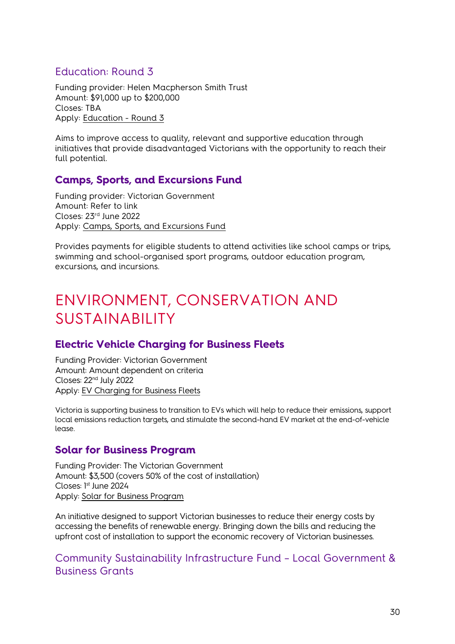# <span id="page-29-0"></span>Education: Round 3

Funding provider: Helen Macpherson Smith Trust Amount: \$91,000 up to \$200,000 Closes: TBA Apply: [Education - Round 3](https://hmstrust.org.au/applying-for-a-grant/)

Aims to improve access to quality, relevant and supportive education through initiatives that provide disadvantaged Victorians with the opportunity to reach their full potential.

# <span id="page-29-1"></span>**Camps, Sports, and Excursions Fund**

Funding provider: Victorian Government Amount: Refer to link Closes: 23rd June 2022 Apply: [Camps, Sports, and Excursions Fund](https://www.vic.gov.au/camps-sports-and-excursions-fund) 

Provides payments for eligible students to attend activities like school camps or trips, swimming and school-organised sport programs, outdoor education program, excursions, and incursions.

# <span id="page-29-2"></span>ENVIRONMENT, CONSERVATION AND SUSTAINABILITY

# <span id="page-29-3"></span>**Electric Vehicle Charging for Business Fleets**

Funding Provider: Victorian Government Amount: Amount dependent on criteria Closes: 22nd July 2022 Apply: [EV Charging for Business Fleets](https://www.energy.vic.gov.au/grants/ev-charging-business-fleets#toc__id_1_funding) 

Victoria is supporting business to transition to EVs which will help to reduce their emissions, support local emissions reduction targets, and stimulate the second-hand EV market at the end-of-vehicle lease.

#### <span id="page-29-4"></span>**Solar for Business Program**

Funding Provider: The Victorian Government Amount: \$3,500 (covers 50% of the cost of installation) Closes: 1 st June 2024 Apply: [Solar for Business Program](https://www.solar.vic.gov.au/solar-small-business)

An initiative designed to support Victorian businesses to reduce their energy costs by accessing the benefits of renewable energy. Bringing down the bills and reducing the upfront cost of installation to support the economic recovery of Victorian businesses.

<span id="page-29-5"></span>Community Sustainability Infrastructure Fund – Local Government & Business Grants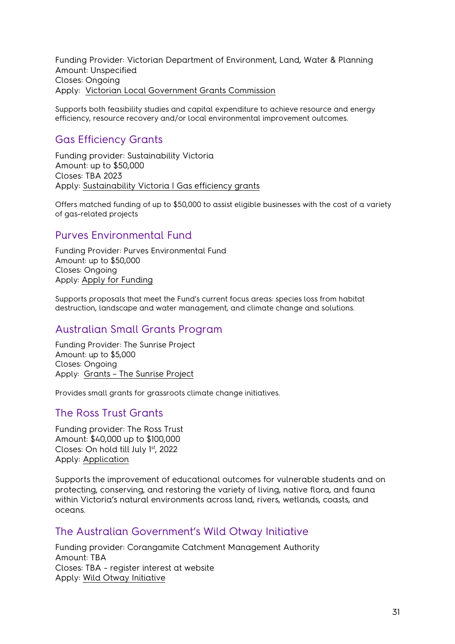Funding Provider: Victorian Department of Environment, Land, Water & Planning Amount: Unspecified Closes: Ongoing Apply: [Victorian Local Government Grants Commission](https://www.localgovernment.vic.gov.au/funding-programs/victoria-grants-commission)

Supports both feasibility studies and capital expenditure to achieve resource and energy efficiency, resource recovery and/or local environmental improvement outcomes.

# <span id="page-30-0"></span>Gas Efficiency Grants

Funding provider: Sustainability Victoria Amount: up to \$50,000 Closes: TBA 2023 Apply: [Sustainability Victoria | Gas efficiency grants](https://www.sustainability.vic.gov.au/grants-funding-and-investment/funded-projects/energy-efficiency-and-reducing-emissions-2/gas-efficiency-grants)

Offers matched funding of up to \$50,000 to assist eligible businesses with the cost of a variety of gas-related projects

#### <span id="page-30-1"></span>Purves Environmental Fund

Funding Provider: Purves Environmental Fund Amount: up to \$50,000 Closes: Ongoing Apply: [Apply for Funding](https://www.purvesenvirofund.org.au/funding) 

Supports proposals that meet the Fund's current focus areas: species loss from habitat destruction, landscape and water management, and climate change and solutions.

#### <span id="page-30-2"></span>Australian Small Grants Program

Funding Provider: The Sunrise Project Amount: up to \$5,000 Closes: Ongoing Apply: [Grants – The Sunrise Project](https://sunriseproject.org/grants/)

Provides small grants for grassroots climate change initiatives.

#### <span id="page-30-3"></span>The Ross Trust Grants

Funding provider: The Ross Trust Amount: \$40,000 up to \$100,000 Closes: On hold till July 1st, 2022 Apply: [Application](https://rosstrust.org.au/grants/apply-for-a-grant)

Supports the improvement of educational outcomes for vulnerable students and on protecting, conserving, and restoring the variety of living, native flora, and fauna within Victoria's natural environments across land, rivers, wetlands, coasts, and oceans.

#### <span id="page-30-4"></span>The Australian Government's Wild Otway Initiative

Funding provider: Corangamite Catchment Management Authority Amount: TBA Closes: TBA – register interest at website Apply: [Wild Otway Initiative](https://ccma.vic.gov.au/what-we-do/wild-otways/)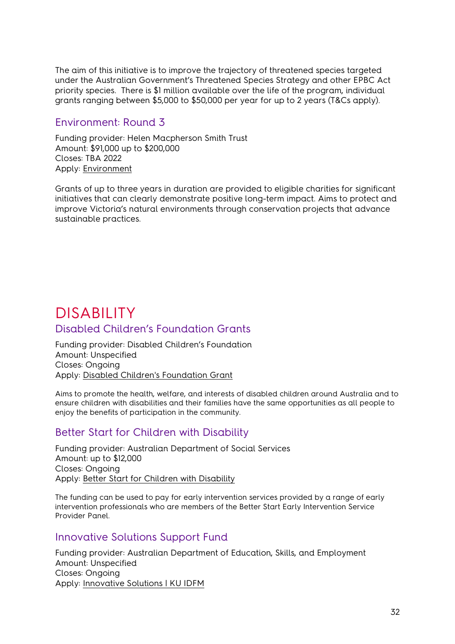The aim of this initiative is to improve the trajectory of threatened species targeted under the Australian Government's Threatened Species Strategy and other EPBC Act priority species. There is \$1 million available over the life of the program, individual grants ranging between \$5,000 to \$50,000 per year for up to 2 years (T&Cs apply).

#### <span id="page-31-0"></span>Environment: Round 3

Funding provider: Helen Macpherson Smith Trust Amount: \$91,000 up to \$200,000 Closes: TBA 2022 Apply: [Environment](https://hmstrust.org.au/applying-for-a-grant/)

Grants of up to three years in duration are provided to eligible charities for significant initiatives that can clearly demonstrate positive long-term impact. Aims to protect and improve Victoria's natural environments through conservation projects that advance sustainable practices.

# <span id="page-31-2"></span><span id="page-31-1"></span>DISABILITY<br>Disabled Children's Foundation Grants

Funding provider: Disabled Children's Foundation Amount: Unspecified Closes: Ongoing Apply: [Disabled Children's Foundation Grant](https://disabledchildrensfoundation.org.au/funding/application-for-funding/)

Aims to promote the health, welfare, and interests of disabled children around Australia and to ensure children with disabilities and their families have the same opportunities as all people to enjoy the benefits of participation in the community.

#### <span id="page-31-3"></span>Better Start for Children with Disability

Funding provider: Australian Department of Social Services Amount: up to \$12,000 Closes: Ongoing Apply: [Better Start for Children with Disability](https://www.dss.gov.au/disability-and-carers-programs-services-for-people-with-disability/helping-children-with-autism-hcwa-and-better-start-for-children-with-disability-better-start)

The funding can be used to pay for early intervention services provided by a range of early intervention professionals who are members of the Better Start Early Intervention Service Provider Panel.

#### <span id="page-31-4"></span>Innovative Solutions Support Fund

Funding provider: Australian Department of Education, Skills, and Employment Amount: Unspecified Closes: Ongoing Apply: [Innovative Solutions | KU IDFM](https://idfm.org.au/funding-streams/innovative-solutions)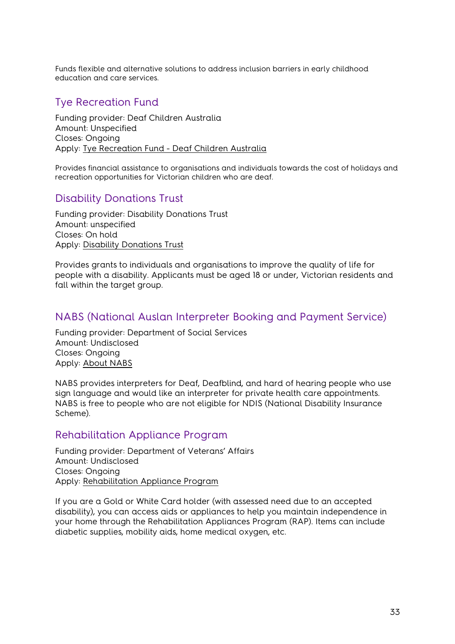Funds flexible and alternative solutions to address inclusion barriers in early childhood education and care services.

# <span id="page-32-0"></span>Tye Recreation Fund

Funding provider: Deaf Children Australia Amount: Unspecified Closes: Ongoing Apply: [Tye Recreation Fund - Deaf Children Australia](https://www.deafchildrenaustralia.org.au/scholarships-and-grants/)

Provides financial assistance to organisations and individuals towards the cost of holidays and recreation opportunities for Victorian children who are deaf.

# <span id="page-32-1"></span>Disability Donations Trust

Funding provider: Disability Donations Trust Amount: unspecified Closes: On hold Apply: [Disability Donations Trust](https://providers.dhhs.vic.gov.au/disability-donations-trust)

Provides grants to individuals and organisations to improve the quality of life for people with a disability. Applicants must be aged 18 or under, Victorian residents and fall within the target group.

# <span id="page-32-2"></span>NABS (National Auslan Interpreter Booking and Payment Service)

Funding provider: Department of Social Services Amount: Undisclosed Closes: Ongoing Apply: [About NABS](https://www.nabs.org.au/about-nabs.html)

NABS provides interpreters for Deaf, Deafblind, and hard of hearing people who use sign language and would like an interpreter for private health care appointments. NABS is free to people who are not eligible for NDIS (National Disability Insurance Scheme).

#### <span id="page-32-3"></span>Rehabilitation Appliance Program

Funding provider: Department of Veterans' Affairs Amount: Undisclosed Closes: Ongoing Apply: [Rehabilitation Appliance Program](https://www.dva.gov.au/health-and-treatment/care-home-or-aged-care/equipment-and-modifications-you-and-your-home)

If you are a Gold or White Card holder (with assessed need due to an accepted disability), you can access aids or appliances to help you maintain independence in your home through the Rehabilitation Appliances Program (RAP). Items can include diabetic supplies, mobility aids, home medical oxygen, etc.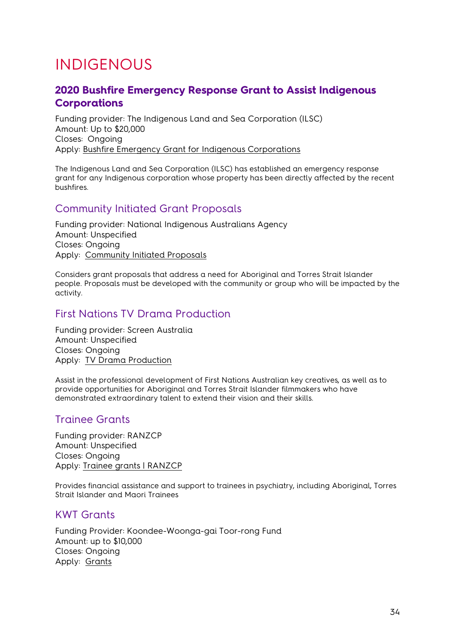# <span id="page-33-0"></span>INDIGENOUS

# <span id="page-33-1"></span>**2020 Bushfire Emergency Response Grant to Assist Indigenous Corporations**

Funding provider: The Indigenous Land and Sea Corporation (ILSC) Amount: Up to \$20,000 Closes: Ongoing Apply: [Bushfire Emergency Grant for Indigenous Corporations](https://business.vic.gov.au/grants-and-programs/2020-bushfire-emergency-response-grant-to-assist-indigenous-corporations)

The Indigenous Land and Sea Corporation (ILSC) has established an emergency response grant for any Indigenous corporation whose property has been directly affected by the recent bushfires.

# <span id="page-33-2"></span>Community Initiated Grant Proposals

Funding provider: National Indigenous Australians Agency Amount: Unspecified Closes: Ongoing Apply: [Community Initiated Proposals](https://www.niaa.gov.au/indigenous-affairs/grants-and-funding/community-led-proposals)

Considers grant proposals that address a need for Aboriginal and Torres Strait Islander people. Proposals must be developed with the community or group who will be impacted by the activity.

# <span id="page-33-3"></span>First Nations TV Drama Production

Funding provider: Screen Australia Amount: Unspecified Closes: Ongoing Apply: [TV Drama Production](https://www.screenaustralia.gov.au/funding-and-support/first-nations/production/tv-drama-production) 

Assist in the professional development of First Nations Australian key creatives, as well as to provide opportunities for Aboriginal and Torres Strait Islander filmmakers who have demonstrated extraordinary talent to extend their vision and their skills.

#### <span id="page-33-4"></span>Trainee Grants

Funding provider: RANZCP Amount: Unspecified Closes: Ongoing Apply: [Trainee grants | RANZCP](https://www.ranzcp.org/membership/awards-grants-and-member-recognition/trainee-grants)

Provides financial assistance and support to trainees in psychiatry, including Aboriginal, Torres Strait Islander and Maori Trainees

#### <span id="page-33-5"></span>KWT Grants

Funding Provider: Koondee-Woonga-gai Toor-rong Fund Amount: up to \$10,000 Closes: Ongoing Apply: [Grants](https://www.kwtfund.org.au/grants)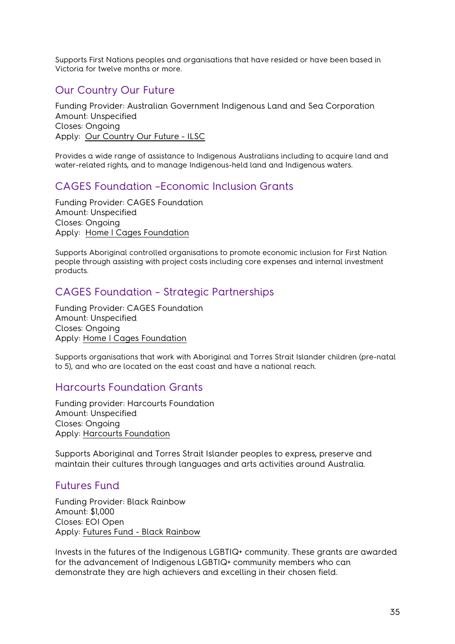Supports First Nations peoples and organisations that have resided or have been based in Victoria for twelve months or more.

# <span id="page-34-0"></span>Our Country Our Future

Funding Provider: Australian Government Indigenous Land and Sea Corporation Amount: Unspecified Closes: Ongoing Apply: [Our Country Our Future - ILSC](https://www.ilsc.gov.au/partner-with-us/our-country-our-future/)

Provides a wide range of assistance to Indigenous Australians including to acquire land and water-related rights, and to manage Indigenous-held land and Indigenous waters.

# <span id="page-34-1"></span>CAGES Foundation –Economic Inclusion Grants

Funding Provider: CAGES Foundation Amount: Unspecified Closes: Ongoing Apply: [Home | Cages Foundation](https://cagesfoundation.org/)

Supports Aboriginal controlled organisations to promote economic inclusion for First Nation people through assisting with project costs including core expenses and internal investment products.

# <span id="page-34-2"></span>CAGES Foundation – Strategic Partnerships

Funding Provider: CAGES Foundation Amount: Unspecified Closes: Ongoing Apply: [Home | Cages Foundation](https://cagesfoundation.org/)

Supports organisations that work with Aboriginal and Torres Strait Islander children (pre-natal to 5), and who are located on the east coast and have a national reach.

#### <span id="page-34-3"></span>Harcourts Foundation Grants

Funding provider: Harcourts Foundation Amount: Unspecified Closes: Ongoing Apply: [Harcourts Foundation](https://harcourtsfoundation.org/) 

Supports Aboriginal and Torres Strait Islander peoples to express, preserve and maintain their cultures through languages and arts activities around Australia.

#### <span id="page-34-4"></span>Futures Fund

Funding Provider: Black Rainbow Amount: \$1,000 Closes: EOI Open Apply: [Futures Fund - Black Rainbow](https://blackrainbow.org.au/futuresfund/)

Invests in the futures of the Indigenous LGBTIQ+ community. These grants are awarded for the advancement of Indigenous LGBTIQ+ community members who can demonstrate they are high achievers and excelling in their chosen field.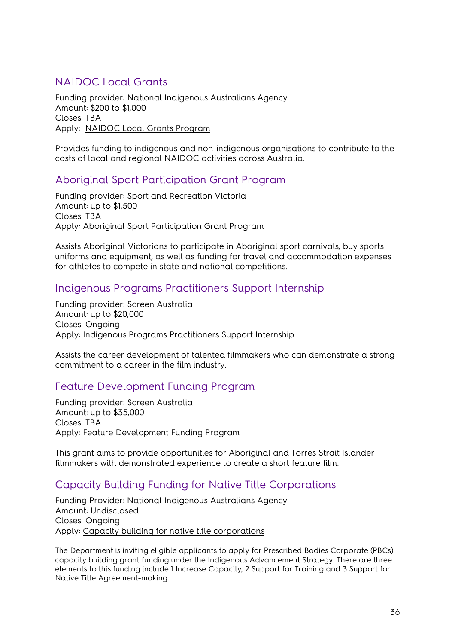# <span id="page-35-0"></span>NAIDOC Local Grants

Funding provider: National Indigenous Australians Agency Amount: \$200 to \$1,000 Closes: TBA Apply: [NAIDOC Local Grants Program](https://www.communitygrants.gov.au/grants/naidoc-local-grants-program)

Provides funding to indigenous and non-indigenous organisations to contribute to the costs of local and regional NAIDOC activities across Australia.

# <span id="page-35-1"></span>Aboriginal Sport Participation Grant Program

Funding provider: Sport and Recreation Victoria Amount: up to \$1,500 Closes: TBA Apply: [Aboriginal Sport Participation Grant Program](https://sport.vic.gov.au/grants-and-funding/our-grants/aboriginal-sport-participation-grant-program)

Assists Aboriginal Victorians to participate in Aboriginal sport carnivals, buy sports uniforms and equipment, as well as funding for travel and accommodation expenses for athletes to compete in state and national competitions.

#### <span id="page-35-2"></span>Indigenous Programs Practitioners Support Internship

Funding provider: Screen Australia Amount: up to \$20,000 Closes: Ongoing Apply: [Indigenous Programs Practitioners Support Internship](https://www.screenaustralia.gov.au/funding-and-support/indigenous/sector-development/internships) 

Assists the career development of talented filmmakers who can demonstrate a strong commitment to a career in the film industry.

# <span id="page-35-3"></span>Feature Development Funding Program

Funding provider: Screen Australia Amount: up to \$35,000 Closes: TBA Apply: [Feature Development Funding Program](https://www.screenaustralia.gov.au/funding-and-support/indigenous/development/feature-development-program)

This grant aims to provide opportunities for Aboriginal and Torres Strait Islander filmmakers with demonstrated experience to create a short feature film.

# <span id="page-35-4"></span>Capacity Building Funding for Native Title Corporations

Funding Provider: National Indigenous Australians Agency Amount: Undisclosed Closes: Ongoing Apply: [Capacity building for native title corporations](https://www.niaa.gov.au/indigenous-affairs/grants-and-funding/capacity-building-native-title-corporations)

The Department is inviting eligible applicants to apply for Prescribed Bodies Corporate (PBCs) capacity building grant funding under the Indigenous Advancement Strategy. There are three elements to this funding include 1 Increase Capacity, 2 Support for Training and 3 Support for Native Title Agreement-making.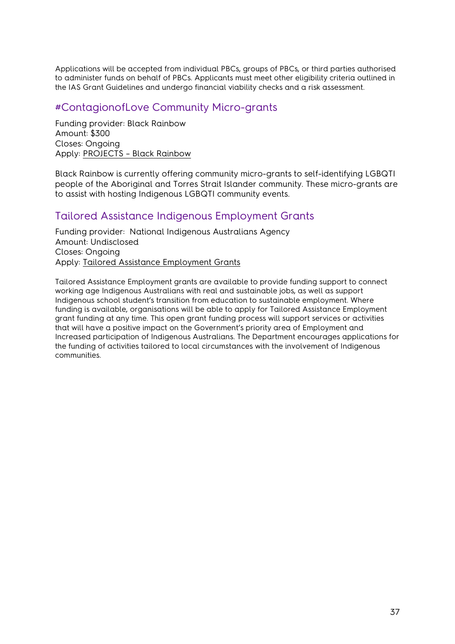Applications will be accepted from individual PBCs, groups of PBCs, or third parties authorised to administer funds on behalf of PBCs. Applicants must meet other eligibility criteria outlined in the IAS Grant Guidelines and undergo financial viability checks and a risk assessment.

#### <span id="page-36-0"></span>#ContagionofLove Community Micro-grants

Funding provider: Black Rainbow Amount: \$300 Closes: Ongoing Apply: [PROJECTS – Black Rainbow](http://www.blackrainbow.org.au/contagion-of-love-projects/)

Black Rainbow is currently offering community micro-grants to self-identifying LGBQTI people of the Aboriginal and Torres Strait Islander community. These micro-grants are to assist with hosting Indigenous LGBQTI community events.

# <span id="page-36-1"></span>Tailored Assistance Indigenous Employment Grants

Funding provider: National Indigenous Australians Agency Amount: Undisclosed Closes: Ongoing Apply: [Tailored Assistance Employment Grants](https://www.niaa.gov.au/indigenous-affairs/employment/tailored-assistance-employment-grants)

Tailored Assistance Employment grants are available to provide funding support to connect working age Indigenous Australians with real and sustainable jobs, as well as support Indigenous school student's transition from education to sustainable employment. Where funding is available, organisations will be able to apply for Tailored Assistance Employment grant funding at any time. This open grant funding process will support services or activities that will have a positive impact on the Government's priority area of Employment and Increased participation of Indigenous Australians. The Department encourages applications for the funding of activities tailored to local circumstances with the involvement of Indigenous communities.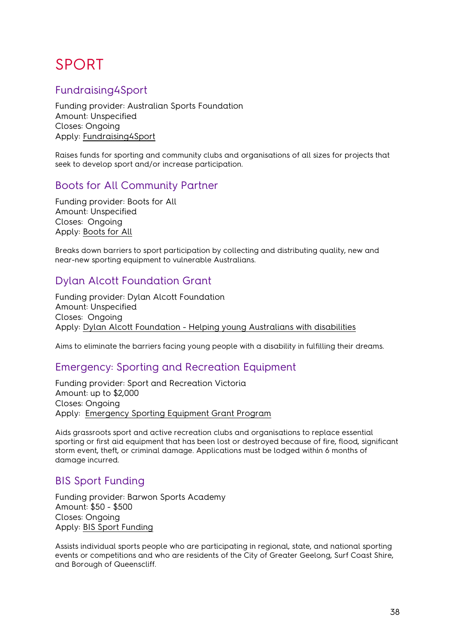# <span id="page-37-0"></span>SPORT

# <span id="page-37-1"></span>Fundraising4Sport

Funding provider: Australian Sports Foundation Amount: Unspecified Closes: Ongoing Apply: [Fundraising4Sport](https://asf.org.au/fundraise)

Raises funds for sporting and community clubs and organisations of all sizes for projects that seek to develop sport and/or increase participation.

# <span id="page-37-2"></span>Boots for All Community Partner

Funding provider: Boots for All Amount: Unspecified Closes: Ongoing Apply: [Boots for All](https://www.bootsforall.org.au/about-us#:%7E:text=Boots%20For%20All%20-%20Sport%20for%20All%20Since,social%20enterprise%20sports%20store%20-%20Sport%20for%20All)

Breaks down barriers to sport participation by collecting and distributing quality, new and near-new sporting equipment to vulnerable Australians.

# <span id="page-37-3"></span>Dylan Alcott Foundation Grant

Funding provider: Dylan Alcott Foundation Amount: Unspecified Closes: Ongoing Apply: [Dylan Alcott Foundation - Helping young Australians with disabilities](https://dylanalcottfoundation.com.au/)

Aims to eliminate the barriers facing young people with a disability in fulfilling their dreams.

# <span id="page-37-4"></span>Emergency: Sporting and Recreation Equipment

Funding provider: Sport and Recreation Victoria Amount: up to \$2,000 Closes: Ongoing Apply: [Emergency Sporting Equipment Grant Program](https://sport.vic.gov.au/grants-and-funding/our-grants/emergency-sporting-and-recreational-equipment) 

Aids grassroots sport and active recreation clubs and organisations to replace essential sporting or first aid equipment that has been lost or destroyed because of fire, flood, significant storm event, theft, or criminal damage. Applications must be lodged within 6 months of damage incurred.

#### <span id="page-37-5"></span>BIS Sport Funding

Funding provider: Barwon Sports Academy Amount: \$50 - \$500 Closes: Ongoing Apply: [BIS Sport Funding](https://www.barwonsportsacademy.org.au/additional-information/grants-and-funding) 

Assists individual sports people who are participating in regional, state, and national sporting events or competitions and who are residents of the City of Greater Geelong, Surf Coast Shire, and Borough of Queenscliff.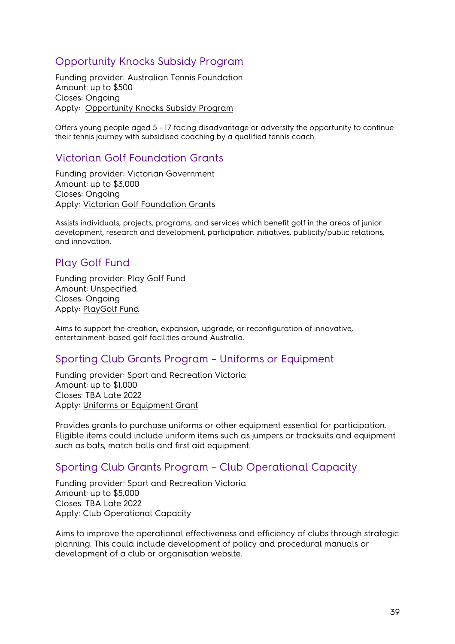# <span id="page-38-0"></span>Opportunity Knocks Subsidy Program

Funding provider: Australian Tennis Foundation Amount: up to \$500 Closes: Ongoing Apply: [Opportunity Knocks Subsidy Program](https://www.tennis.com.au/about-tennis-australia/australian-tennis-foundation/what-we-do#:%7E:text=The%20Opportunity%20Knocks%20Subsidy%20Program,membership%20fees%20or%20competition%20fees.)

Offers young people aged 5 - 17 facing disadvantage or adversity the opportunity to continue their tennis journey with subsidised coaching by a qualified tennis coach.

#### <span id="page-38-1"></span>Victorian Golf Foundation Grants

Funding provider: Victorian Government Amount: up to \$3,000 Closes: Ongoing Apply: [Victorian Golf Foundation Grants](https://asf.org.au/)

Assists individuals, projects, programs, and services which benefit golf in the areas of junior development, research and development, participation initiatives, publicity/public relations, and innovation.

# <span id="page-38-2"></span>Play Golf Fund

Funding provider: Play Golf Fund Amount: Unspecified Closes: Ongoing Apply: [PlayGolf Fund](https://playgolffund.com.au/)

Aims to support the creation, expansion, upgrade, or reconfiguration of innovative, entertainment-based golf facilities around Australia.

#### <span id="page-38-3"></span>Sporting Club Grants Program – Uniforms or Equipment

Funding provider: Sport and Recreation Victoria Amount: up to \$1,000 Closes: TBA Late 2022 Apply: [Uniforms or Equipment Grant](https://sport.vic.gov.au/grants-and-funding/our-grants/sporting-club-grants-program)

Provides grants to purchase uniforms or other equipment essential for participation. Eligible items could include uniform items such as jumpers or tracksuits and equipment such as bats, match balls and first aid equipment.

# <span id="page-38-4"></span>Sporting Club Grants Program – Club Operational Capacity

Funding provider: Sport and Recreation Victoria Amount: up to \$5,000 Closes: TBA Late 2022 Apply: [Club Operational Capacity](https://sport.vic.gov.au/grants-and-funding/our-grants/sporting-club-grants-program) 

Aims to improve the operational effectiveness and efficiency of clubs through strategic planning. This could include development of policy and procedural manuals or development of a club or organisation website.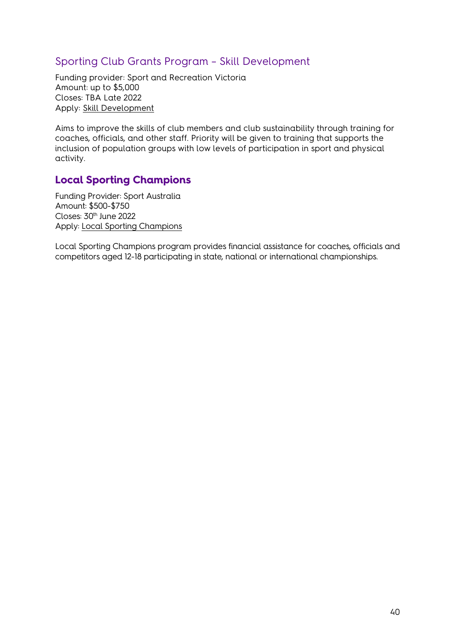# <span id="page-39-0"></span>Sporting Club Grants Program – Skill Development

Funding provider: Sport and Recreation Victoria Amount: up to \$5,000 Closes: TBA Late 2022 Apply: [Skill Development](https://sport.vic.gov.au/grants-and-funding/our-grants/sporting-club-grants-program) 

Aims to improve the skills of club members and club sustainability through training for coaches, officials, and other staff. Priority will be given to training that supports the inclusion of population groups with low levels of participation in sport and physical activity.

#### <span id="page-39-1"></span>**Local Sporting Champions**

Funding Provider: Sport Australia Amount: \$500-\$750 Closes: 30<sup>th</sup> June 2022 Apply: [Local Sporting Champions](https://www.sportaus.gov.au/grants_and_funding/local_sporting_champions)

Local Sporting Champions program provides financial assistance for coaches, officials and competitors aged 12-18 participating in state, national or international championships.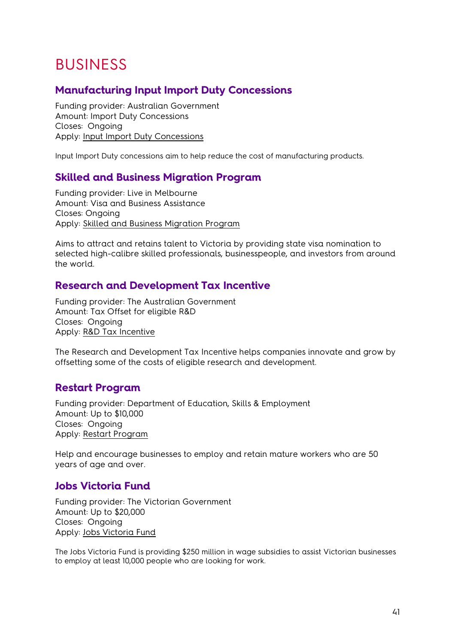# <span id="page-40-0"></span>BUSINESS

# <span id="page-40-1"></span>**Manufacturing Input Import Duty Concessions**

Funding provider: Australian Government Amount: Import Duty Concessions Closes: Ongoing Apply: **Input Import Duty Concessions** 

Input Import Duty concessions aim to help reduce the cost of manufacturing products.

#### <span id="page-40-2"></span>**Skilled and Business Migration Program**

Funding provider: Live in Melbourne Amount: Visa and Business Assistance Closes: Ongoing Apply: [Skilled and Business Migration Program](https://liveinmelbourne.vic.gov.au/about-us#.VGRK41PZh1A)

Aims to attract and retains talent to Victoria by providing state visa nomination to selected high-calibre skilled professionals, businesspeople, and investors from around the world.

#### <span id="page-40-3"></span>**Research and Development Tax Incentive**

Funding provider: The Australian Government Amount: Tax Offset for eligible R&D Closes: Ongoing Apply: [R&D Tax Incentive](https://business.gov.au/Grants-and-Programs/Research-and-Development-Tax-Incentive)

The Research and Development Tax Incentive helps companies innovate and grow by offsetting some of the costs of eligible research and development.

#### <span id="page-40-4"></span>**Restart Program**

Funding provider: Department of Education, Skills & Employment Amount: Up to \$10,000 Closes: Ongoing Apply: [Restart Program](https://www.dese.gov.au/restart-help-employ-mature-workers)

Help and encourage businesses to employ and retain mature workers who are 50 years of age and over.

#### <span id="page-40-5"></span>**Jobs Victoria Fund**

Funding provider: The Victorian Government Amount: Up to \$20,000 Closes: Ongoing Apply: [Jobs Victoria Fund](https://business.vic.gov.au/grants-and-programs/jobs-victoria-fund)

The Jobs Victoria Fund is providing \$250 million in wage subsidies to assist Victorian businesses to employ at least 10,000 people who are looking for work.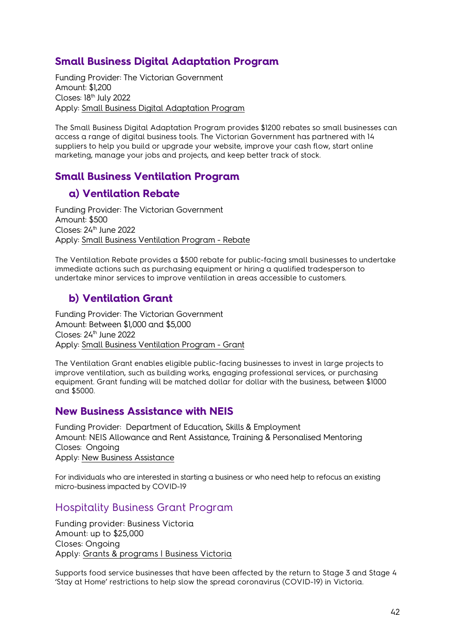# <span id="page-41-0"></span>**Small Business Digital Adaptation Program**

Funding Provider: The Victorian Government Amount: \$1,200 Closes: 18th July 2022 Apply: [Small Business Digital Adaptation Program](https://business.vic.gov.au/grants-and-programs/small-business-digital-adaptation-program) 

The Small Business Digital Adaptation Program provides \$1200 rebates so small businesses can access a range of digital business tools. The Victorian Government has partnered with 14 suppliers to help you build or upgrade your website, improve your cash flow, start online marketing, manage your jobs and projects, and keep better track of stock.

# <span id="page-41-1"></span>**Small Business Ventilation Program**

# <span id="page-41-2"></span>**a) Ventilation Rebate**

Funding Provider: The Victorian Government Amount: \$500 Closes: 24<sup>th</sup> June 2022 Apply: [Small Business Ventilation Program - Rebate](https://business.vic.gov.au/grants-and-programs/small-business-ventilation-program/ventilation-rebate)

The Ventilation Rebate provides a \$500 rebate for public-facing small businesses to undertake immediate actions such as purchasing equipment or hiring a qualified tradesperson to undertake minor services to improve ventilation in areas accessible to customers.

# <span id="page-41-3"></span>**b) Ventilation Grant**

Funding Provider: The Victorian Government Amount: Between \$1,000 and \$5,000 Closes: 24<sup>th</sup> June 2022 Apply: [Small Business Ventilation Program - Grant](https://business.vic.gov.au/grants-and-programs/small-business-ventilation-program/ventilation-grant)

The Ventilation Grant enables eligible public-facing businesses to invest in large projects to improve ventilation, such as building works, engaging professional services, or purchasing equipment. Grant funding will be matched dollar for dollar with the business, between \$1000 and \$5000.

#### <span id="page-41-4"></span>**New Business Assistance with NEIS**

Funding Provider: Department of Education, Skills & Employment Amount: NEIS Allowance and Rent Assistance, Training & Personalised Mentoring Closes: Ongoing Apply: [New Business Assistance](https://www.dese.gov.au/new-business-assistance-neis)

For individuals who are interested in starting a business or who need help to refocus an existing micro-business impacted by COVID-19

# <span id="page-41-5"></span>Hospitality Business Grant Program

Funding provider: Business Victoria Amount: up to \$25,000 Closes: Ongoing Apply: [Grants & programs | Business Victoria](https://business.vic.gov.au/grants-and-programs?filter=%7B%22status%22%3A%5B%22opening+soon%22%2C%22open%22%2C%22ongoing%22%5D%7D&page=1)

Supports food service businesses that have been affected by the return to Stage 3 and Stage 4 'Stay at Home' restrictions to help slow the spread coronavirus (COVID-19) in Victoria.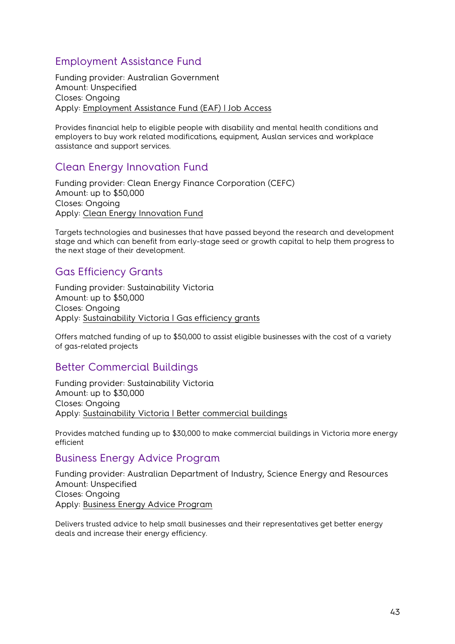# <span id="page-42-0"></span>Employment Assistance Fund

Funding provider: Australian Government Amount: Unspecified Closes: Ongoing Apply: [Employment Assistance Fund \(EAF\) | Job Access](https://www.jobaccess.gov.au/employment-assistance-fund-eaf)

Provides financial help to eligible people with disability and mental health conditions and employers to buy work related modifications, equipment, Auslan services and workplace assistance and support services.

# <span id="page-42-1"></span>Clean Energy Innovation Fund

Funding provider: Clean Energy Finance Corporation (CEFC) Amount: up to \$50,000 Closes: Ongoing Apply: [Clean Energy Innovation Fund](https://www.cefc.com.au/where-we-invest/special-investment-programs/clean-energy-innovation-fund/) 

Targets technologies and businesses that have passed beyond the research and development stage and which can benefit from early-stage seed or growth capital to help them progress to the next stage of their development.

# <span id="page-42-2"></span>Gas Efficiency Grants

Funding provider: Sustainability Victoria Amount: up to \$50,000 Closes: Ongoing Apply: [Sustainability Victoria | Gas efficiency grants](https://www.sustainability.vic.gov.au/grants-funding-and-investment/funded-projects/energy-efficiency-and-reducing-emissions-2/gas-efficiency-grants)

Offers matched funding of up to \$50,000 to assist eligible businesses with the cost of a variety of gas-related projects

#### <span id="page-42-3"></span>Better Commercial Buildings

Funding provider: Sustainability Victoria Amount: up to \$30,000 Closes: Ongoing Apply: [Sustainability Victoria | Better commercial buildings](https://www.sustainability.vic.gov.au/grants-funding-and-investment/funded-projects/energy-efficiency-and-reducing-emissions-2/better-commercial-buildings)

<span id="page-42-4"></span>Provides matched funding up to \$30,000 to make commercial buildings in Victoria more energy efficient

#### <span id="page-42-5"></span>Business Energy Advice Program

Funding provider: Australian Department of Industry, Science Energy and Resources Amount: Unspecified Closes: Ongoing Apply: [Business Energy Advice Program](https://www.energy.gov.au/government-priorities/energy-programs/business-energy-advice-program) 

Delivers trusted advice to help small businesses and their representatives get better energy deals and increase their energy efficiency.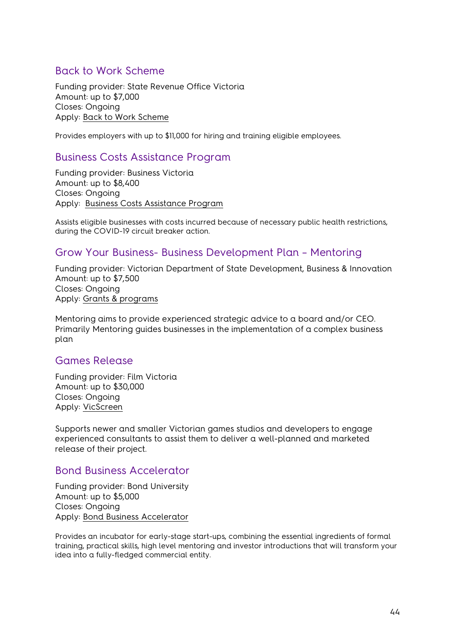#### <span id="page-43-0"></span>Back to Work Scheme

Funding provider: State Revenue Office Victoria Amount: up to \$7,000 Closes: Ongoing Apply: [Back to Work Scheme](https://www.sro.vic.gov.au/back-to-work)

Provides employers with up to \$11,000 for hiring and training eligible employees.

#### <span id="page-43-1"></span>Business Costs Assistance Program

Funding provider: Business Victoria Amount: up to \$8,400 Closes: Ongoing Apply: [Business Costs Assistance Program](https://business.vic.gov.au/grants-and-programs/business-costs-assistance-program-round-four-construction)

Assists eligible businesses with costs incurred because of necessary public health restrictions, during the COVID-19 circuit breaker action.

#### <span id="page-43-2"></span>Grow Your Business- Business Development Plan – Mentoring

Funding provider: Victorian Department of State Development, Business & Innovation Amount: up to \$7,500 Closes: Ongoing Apply: [Grants & programs](https://business.vic.gov.au/grants-and-programs?filter=%7B%22status%22%3A%5B%22opening+soon%22%2C%22open%22%2C%22ongoing%22%5D%7D&page=1)

Mentoring aims to provide experienced strategic advice to a board and/or CEO. Primarily Mentoring guides businesses in the implementation of a complex business plan

#### <span id="page-43-3"></span>Games Release

Funding provider: Film Victoria Amount: up to \$30,000 Closes: Ongoing Apply: [VicScreen](https://vicscreen.vic.gov.au/funding/games) 

Supports newer and smaller Victorian games studios and developers to engage experienced consultants to assist them to deliver a well-planned and marketed release of their project.

#### <span id="page-43-4"></span>Bond Business Accelerator

Funding provider: Bond University Amount: up to \$5,000 Closes: Ongoing Apply: [Bond Business Accelerator](https://bond.edu.au/)

Provides an incubator for early-stage start-ups, combining the essential ingredients of formal training, practical skills, high level mentoring and investor introductions that will transform your idea into a fully-fledged commercial entity.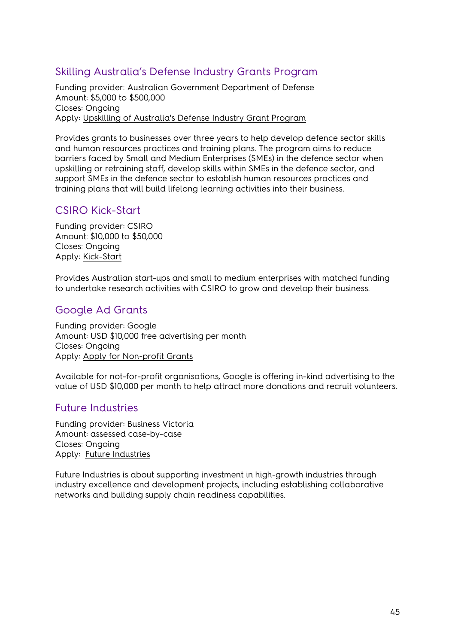# <span id="page-44-0"></span>Skilling Australia's Defense Industry Grants Program

Funding provider: Australian Government Department of Defense Amount: \$5,000 to \$500,000 Closes: Ongoing Apply: [Upskilling of Australia's Defense Industry Grant Program](https://www.grants.gov.au/Go/Show?GoUuid=858B7037-F1C2-B1EB-5048-51DD50D3CB1D)

Provides grants to businesses over three years to help develop defence sector skills and human resources practices and training plans. The program aims to reduce barriers faced by Small and Medium Enterprises (SMEs) in the defence sector when upskilling or retraining staff, develop skills within SMEs in the defence sector, and support SMEs in the defence sector to establish human resources practices and training plans that will build lifelong learning activities into their business.

# <span id="page-44-1"></span>CSIRO Kick-Start

Funding provider: CSIRO Amount: \$10,000 to \$50,000 Closes: Ongoing Apply: [Kick-Start](https://www.csiro.au/)

Provides Australian start-ups and small to medium enterprises with matched funding to undertake research activities with CSIRO to grow and develop their business.

# <span id="page-44-2"></span>Google Ad Grants

Funding provider: Google Amount: USD \$10,000 free advertising per month Closes: Ongoing Apply: [Apply for Non-profit Grants](https://www.google.com.au/grants/how-to-apply/)

Available for not-for-profit organisations, Google is offering in-kind advertising to the value of USD \$10,000 per month to help attract more donations and recruit volunteers.

# <span id="page-44-3"></span>Future Industries

Funding provider: Business Victoria Amount: assessed case-by-case Closes: Ongoing Apply: Future [Industries](https://www.business.vic.gov.au/support-for-your-business/grants-and-assistance/future-industries)

Future Industries is about supporting investment in high-growth industries through industry excellence and development projects, including establishing collaborative networks and building supply chain readiness capabilities.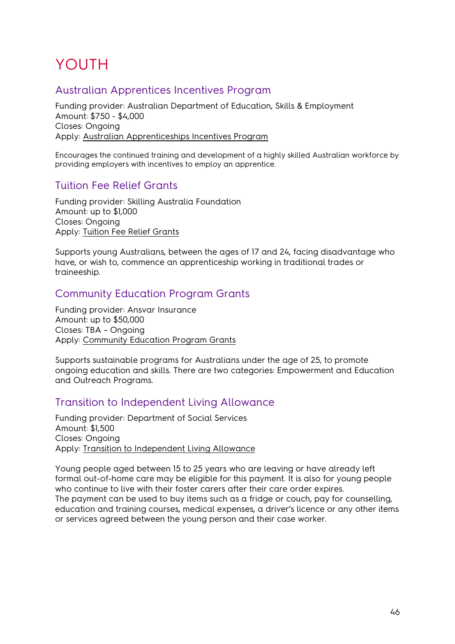# <span id="page-45-0"></span>YOUTH

# <span id="page-45-1"></span>Australian Apprentices Incentives Program

Funding provider: Australian Department of Education, Skills & Employment Amount: \$750 - \$4,000 Closes: Ongoing Apply: [Australian Apprenticeships Incentives Program](https://business.gov.au/Grants-and-Programs/Australian-Apprenticeships-Incentives-Program)

Encourages the continued training and development of a highly skilled Australian workforce by providing employers with incentives to employ an apprentice.

# <span id="page-45-2"></span>Tuition Fee Relief Grants

Funding provider: Skilling Australia Foundation Amount: up to \$1,000 Closes: Ongoing Apply: [Tuition Fee Relief Grants](https://saf.org.au/tuition-fee-relief-grants/) 

Supports young Australians, between the ages of 17 and 24, facing disadvantage who have, or wish to, commence an apprenticeship working in traditional trades or traineeship.

# <span id="page-45-3"></span>Community Education Program Grants

Funding provider: Ansvar Insurance Amount: up to \$50,000 Closes: TBA – Ongoing Apply: [Community Education Program Grants](https://www.ansvar.com.au/community-education-program/)

Supports sustainable programs for Australians under the age of 25, to promote ongoing education and skills. There are two categories: Empowerment and Education and Outreach Programs.

# <span id="page-45-4"></span>Transition to Independent Living Allowance

Funding provider: Department of Social Services Amount: \$1,500 Closes: Ongoing Apply: [Transition to Independent Living Allowance](https://www.dss.gov.au/our-responsibilities/families-and-children/benefits-payments/transition-to-independent-living-allowance-tila)

Young people aged between 15 to 25 years who are leaving or have already left formal out-of-home care may be [eligible](https://www.dss.gov.au/our-responsibilities/families-and-children/benefits-payments/transition-to-independent-living-allowance-tila/eligibility) for this payment. It is also for young people who continue to live with their foster carers after their care order expires. The payment can be used to buy items such as a fridge or couch, pay for counselling, education and training courses, medical expenses, a driver's licence or any other items or services agreed between the young person and their case worker.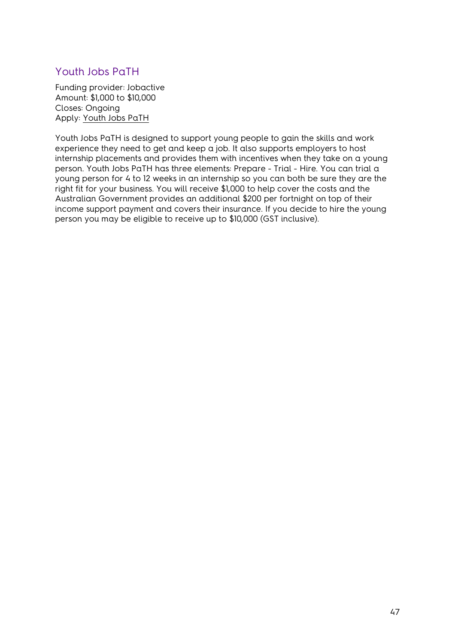# <span id="page-46-0"></span>Youth Jobs PaTH

Funding provider: Jobactive Amount: \$1,000 to \$10,000 Closes: Ongoing Apply: [Youth Jobs PaTH](https://www.employment.gov.au/youth-jobs-path) 

Youth Jobs PaTH is designed to support young people to gain the skills and work experience they need to get and keep a job. It also supports employers to host internship placements and provides them with incentives when they take on a young person. Youth Jobs PaTH has three elements: Prepare - Trial - Hire. You can trial a young person for 4 to 12 weeks in an internship so you can both be sure they are the right fit for your business. You will receive \$1,000 to help cover the costs and the Australian Government provides an additional \$200 per fortnight on top of their income support payment and covers their insurance. If you decide to hire the young person you may be eligible to receive up to \$10,000 (GST inclusive).